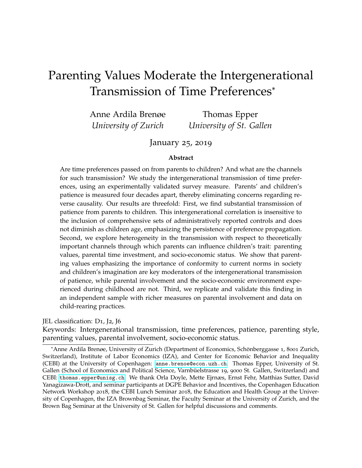# Parenting Values Moderate the Intergenerational Transmission of Time Preferences\*

Anne Ardila Brenøe *University of Zurich* Thomas Epper *University of St. Gallen*

### January 25, 2019

#### **Abstract**

Are time preferences passed on from parents to children? And what are the channels for such transmission? We study the intergenerational transmission of time preferences, using an experimentally validated survey measure. Parents' and children's patience is measured four decades apart, thereby eliminating concerns regarding reverse causality. Our results are threefold: First, we find substantial transmission of patience from parents to children. This intergenerational correlation is insensitive to the inclusion of comprehensive sets of administratively reported controls and does not diminish as children age, emphasizing the persistence of preference propagation. Second, we explore heterogeneity in the transmission with respect to theoretically important channels through which parents can influence children's trait: parenting values, parental time investment, and socio-economic status. We show that parenting values emphasizing the importance of conformity to current norms in society and children's imagination are key moderators of the intergenerational transmission of patience, while parental involvement and the socio-economic environment experienced during childhood are not. Third, we replicate and validate this finding in an independent sample with richer measures on parental involvement and data on child-rearing practices.

JEL classification: D1, J2, J6

Keywords: Intergenerational transmission, time preferences, patience, parenting style, parenting values, parental involvement, socio-economic status.

<sup>\*</sup>Anne Ardila Brenøe, University of Zurich (Department of Economics, Schönberggasse 1, 8001 Zurich, Switzerland), Institute of Labor Economics (IZA), and Center for Economic Behavior and Inequality (CEBI) at the University of Copenhagen: [anne.brenoe@econ.uzh.ch](mailto:anne.brenoe@econ.uzh.ch). Thomas Epper, University of St. Gallen (School of Economics and Political Science, Varnbüelstrasse 19, 9000 St. Gallen, Switzerland) and CEBI: [thomas.epper@unisg.ch](mailto:thomas.epper@unisg.ch). We thank Orla Doyle, Mette Ejrnæs, Ernst Fehr, Matthias Sutter, David Yanagizawa-Drott, and seminar participants at DGPE Behavior and Incentives, the Copenhagen Education Network Workshop 2018, the CEBI Lunch Seminar 2018, the Education and Health Group at the University of Copenhagen, the IZA Brownbag Seminar, the Faculty Seminar at the University of Zurich, and the Brown Bag Seminar at the University of St. Gallen for helpful discussions and comments.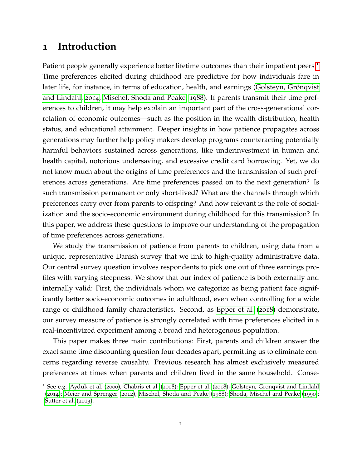### <span id="page-1-1"></span>**1 Introduction**

Patient people generally experience better lifetime outcomes than their impatient peers.<sup>[1](#page-1-0)</sup> Time preferences elicited during childhood are predictive for how individuals fare in later life, for instance, in terms of education, health, and earnings (Golsteyn, Grönqvist [and Lindahl,](#page-30-0) [2014](#page-30-0); [Mischel, Shoda and Peake,](#page-30-1) [1988](#page-30-1)). If parents transmit their time preferences to children, it may help explain an important part of the cross-generational correlation of economic outcomes—such as the position in the wealth distribution, health status, and educational attainment. Deeper insights in how patience propagates across generations may further help policy makers develop programs counteracting potentially harmful behaviors sustained across generations, like underinvestment in human and health capital, notorious undersaving, and excessive credit card borrowing. Yet, we do not know much about the origins of time preferences and the transmission of such preferences across generations. Are time preferences passed on to the next generation? Is such transmission permanent or only short-lived? What are the channels through which preferences carry over from parents to offspring? And how relevant is the role of socialization and the socio-economic environment during childhood for this transmission? In this paper, we address these questions to improve our understanding of the propagation of time preferences across generations.

We study the transmission of patience from parents to children, using data from a unique, representative Danish survey that we link to high-quality administrative data. Our central survey question involves respondents to pick one out of three earnings profiles with varying steepness. We show that our index of patience is both externally and internally valid: First, the individuals whom we categorize as being patient face significantly better socio-economic outcomes in adulthood, even when controlling for a wide range of childhood family characteristics. Second, as [Epper et al.](#page-29-0) ([2018](#page-29-0)) demonstrate, our survey measure of patience is strongly correlated with time preferences elicited in a real-incentivized experiment among a broad and heterogenous population.

This paper makes three main contributions: First, parents and children answer the exact same time discounting question four decades apart, permitting us to eliminate concerns regarding reverse causality. Previous research has almost exclusively measured preferences at times when parents and children lived in the same household. Conse-

<span id="page-1-0"></span><sup>&</sup>lt;sup>1</sup> See e.g. [Ayduk et al.](#page-28-0) ([2000](#page-28-0)); [Chabris et al.](#page-29-1) ([2008](#page-29-1)); [Epper et al.](#page-29-0) ([2018](#page-29-0)); Golsteyn, Grönqvist and Lindahl ([2014](#page-30-0)); [Meier and Sprenger](#page-30-2) ([2012](#page-30-2)); [Mischel, Shoda and Peake](#page-30-1) ([1988](#page-30-1)); [Shoda, Mischel and Peake](#page-30-3) ([1990](#page-30-3)); [Sutter et al.](#page-30-4) ([2013](#page-30-4)).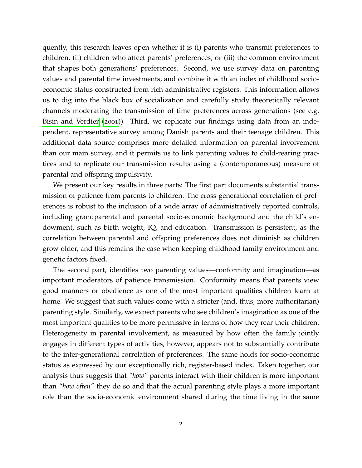quently, this research leaves open whether it is (i) parents who transmit preferences to children, (ii) children who affect parents' preferences, or (iii) the common environment that shapes both generations' preferences. Second, we use survey data on parenting values and parental time investments, and combine it with an index of childhood socioeconomic status constructed from rich administrative registers. This information allows us to dig into the black box of socialization and carefully study theoretically relevant channels moderating the transmission of time preferences across generations (see e.g. [Bisin and Verdier](#page-29-2) ([2001](#page-29-2))). Third, we replicate our findings using data from an independent, representative survey among Danish parents and their teenage children. This additional data source comprises more detailed information on parental involvement than our main survey, and it permits us to link parenting values to child-rearing practices and to replicate our transmission results using a (contemporaneous) measure of parental and offspring impulsivity.

We present our key results in three parts: The first part documents substantial transmission of patience from parents to children. The cross-generational correlation of preferences is robust to the inclusion of a wide array of administratively reported controls, including grandparental and parental socio-economic background and the child's endowment, such as birth weight, IQ, and education. Transmission is persistent, as the correlation between parental and offspring preferences does not diminish as children grow older, and this remains the case when keeping childhood family environment and genetic factors fixed.

The second part, identifies two parenting values—conformity and imagination—as important moderators of patience transmission. Conformity means that parents view good manners or obedience as one of the most important qualities children learn at home. We suggest that such values come with a stricter (and, thus, more authoritarian) parenting style. Similarly, we expect parents who see children's imagination as one of the most important qualities to be more permissive in terms of how they rear their children. Heterogeneity in parental involvement, as measured by how often the family jointly engages in different types of activities, however, appears not to substantially contribute to the inter-generational correlation of preferences. The same holds for socio-economic status as expressed by our exceptionally rich, register-based index. Taken together, our analysis thus suggests that *"how"* parents interact with their children is more important than *"how often"* they do so and that the actual parenting style plays a more important role than the socio-economic environment shared during the time living in the same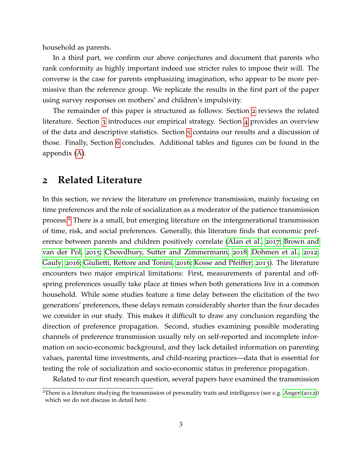household as parents.

In a third part, we confirm our above conjectures and document that parents who rank conformity as highly important indeed use stricter rules to impose their will. The converse is the case for parents emphasizing imagination, who appear to be more permissive than the reference group. We replicate the results in the first part of the paper using survey responses on mothers' and children's impulsivity.

The remainder of this paper is structured as follows: Section [2](#page-3-0) reviews the related literature. Section [3](#page-5-0) introduces our empirical strategy. Section [4](#page-15-0) provides an overview of the data and descriptive statistics. Section [5](#page-18-0) contains our results and a discussion of those. Finally, Section [6](#page-27-0) concludes. Additional tables and figures can be found in the appendix [\(A\)](#page-30-5).

### <span id="page-3-0"></span>**2 Related Literature**

In this section, we review the literature on preference transmission, mainly focusing on time preferences and the role of socialization as a moderator of the patience transmission process.[2](#page-3-1) There is a small, but emerging literature on the intergenerational transmission of time, risk, and social preferences. Generally, this literature finds that economic preference between parents and children positively correlate [\(Alan et al.,](#page-28-1) [2017](#page-28-1); [Brown and](#page-29-3) [van der Pol,](#page-29-3) [2015](#page-29-3); [Chowdhury, Sutter and Zimmermann,](#page-29-4) [2018](#page-29-4); [Dohmen et al.,](#page-29-5) [2012](#page-29-5); [Gauly,](#page-29-6) [2016](#page-29-6); [Giulietti, Rettore and Tonini,](#page-30-6) [2016](#page-30-6); [Kosse and Pfeiffer,](#page-30-7) [2013](#page-30-7)). The literature encounters two major empirical limitations: First, measurements of parental and offspring preferences usually take place at times when both generations live in a common household. While some studies feature a time delay between the elicitation of the two generations' preferences, these delays remain considerably shorter than the four decades we consider in our study. This makes it difficult to draw any conclusion regarding the direction of preference propagation. Second, studies examining possible moderating channels of preference transmission usually rely on self-reported and incomplete information on socio-economic background, and they lack detailed information on parenting values, parental time investments, and child-rearing practices—data that is essential for testing the role of socialization and socio-economic status in preference propagation.

Related to our first research question, several papers have examined the transmission

<span id="page-3-1"></span><sup>&</sup>lt;sup>2</sup>There is a literature studying the transmission of personality traits and intelligence (see e.g. [Anger](#page-28-2) ([2012](#page-28-2))) which we do not discuss in detail here.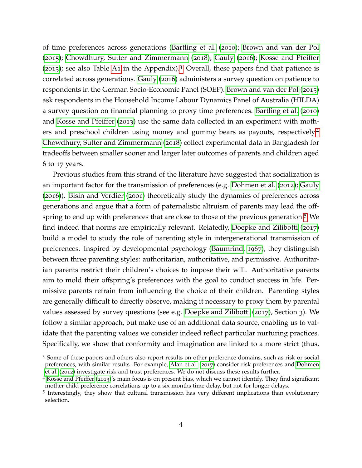of time preferences across generations [\(Bartling et al.](#page-28-3) ([2010](#page-28-3)); [Brown and van der Pol](#page-29-3) ([2015](#page-29-3)); [Chowdhury, Sutter and Zimmermann](#page-29-4) ([2018](#page-29-4)); [Gauly](#page-29-6) ([2016](#page-29-6)); [Kosse and Pfeiffer](#page-30-7) ([2013](#page-30-7)); see also Table [A](#page-31-0)1 in the Appendix).<sup>[3](#page-4-0)</sup> Overall, these papers find that patience is correlated across generations. [Gauly](#page-29-6) ([2016](#page-29-6)) administers a survey question on patience to respondents in the German Socio-Economic Panel (SOEP). [Brown and van der Pol](#page-29-3) ([2015](#page-29-3)) ask respondents in the Household Income Labour Dynamics Panel of Australia (HILDA) a survey question on financial planning to proxy time preferences. [Bartling et al.](#page-28-3) ([2010](#page-28-3)) and [Kosse and Pfeiffer](#page-30-7) ([2013](#page-30-7)) use the same data collected in an experiment with mothers and preschool children using money and gummy bears as payouts, respectively.[4](#page-4-1) [Chowdhury, Sutter and Zimmermann](#page-29-4) ([2018](#page-29-4)) collect experimental data in Bangladesh for tradeoffs between smaller sooner and larger later outcomes of parents and children aged 6 to 17 years.

Previous studies from this strand of the literature have suggested that socialization is an important factor for the transmission of preferences (e.g. [Dohmen et al.](#page-29-5) ([2012](#page-29-5)); [Gauly](#page-29-6) ([2016](#page-29-6))). [Bisin and Verdier](#page-29-2) ([2001](#page-29-2)) theoretically study the dynamics of preferences across generations and argue that a form of paternalistic altruism of parents may lead the off-spring to end up with preferences that are close to those of the previous generation.<sup>[5](#page-4-2)</sup> We find indeed that norms are empirically relevant. Relatedly, [Doepke and Zilibotti](#page-29-7) ([2017](#page-29-7)) build a model to study the role of parenting style in intergenerational transmission of preferences. Inspired by developmental psychology [\(Baumrind,](#page-28-4) [1967](#page-28-4)), they distinguish between three parenting styles: authoritarian, authoritative, and permissive. Authoritarian parents restrict their children's choices to impose their will. Authoritative parents aim to mold their offspring's preferences with the goal to conduct success in life. Permissive parents refrain from influencing the choice of their children. Parenting styles are generally difficult to directly observe, making it necessary to proxy them by parental values assessed by survey questions (see e.g. [Doepke and Zilibotti](#page-29-7) ([2017](#page-29-7)), Section 3). We follow a similar approach, but make use of an additional data source, enabling us to validate that the parenting values we consider indeed reflect particular nurturing practices. Specifically, we show that conformity and imagination are linked to a more strict (thus,

<span id="page-4-0"></span><sup>3</sup> Some of these papers and others also report results on other preference domains, such as risk or social preferences, with similar results. For example, [Alan et al.](#page-28-1) ([2017](#page-28-1)) consider risk preferences and [Dohmen](#page-29-5) [et al.](#page-29-5) ([2012](#page-29-5)) investigate risk and trust preferences. We do not discuss these results further.

<span id="page-4-1"></span><sup>4</sup> [Kosse and Pfeiffer](#page-30-7) ([2013](#page-30-7))'s main focus is on present bias, which we cannot identify. They find significant mother-child preference correlations up to a six months time delay, but not for longer delays.

<span id="page-4-2"></span><sup>5</sup> Interestingly, they show that cultural transmission has very different implications than evolutionary selection.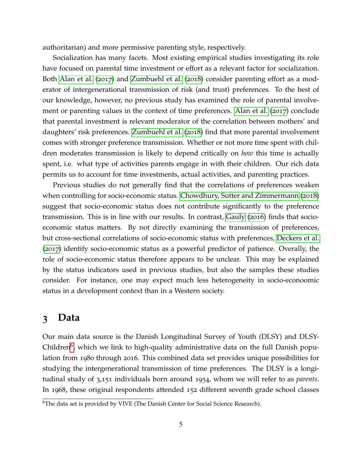authoritarian) and more permissive parenting style, respectively.

Socialization has many facets. Most existing empirical studies investigating its role have focused on parental time investment or effort as a relevant factor for socialization. Both [Alan et al.](#page-28-1) ([2017](#page-28-1)) and [Zumbuehl et al.](#page-30-8) ([2018](#page-30-8)) consider parenting effort as a moderator of intergenerational transmission of risk (and trust) preferences. To the best of our knowledge, however, no previous study has examined the role of parental involvement or parenting values in the context of time preferences. [Alan et al.](#page-28-1) ([2017](#page-28-1)) conclude that parental investment is relevant moderator of the correlation between mothers' and daughters' risk preferences. [Zumbuehl et al.](#page-30-8) ([2018](#page-30-8)) find that more parental involvement comes with stronger preference transmission. Whether or not more time spent with children moderates transmission is likely to depend critically on *how* this time is actually spent, i.e. what type of activities parents engage in with their children. Our rich data permits us to account for time investments, actual activities, and parenting practices.

Previous studies do not generally find that the correlations of preferences weaken when controlling for socio-economic status. [Chowdhury, Sutter and Zimmermann](#page-29-4) ([2018](#page-29-4)) suggest that socio-economic status does not contribute significantly to the preference transmission. This is in line with our results. In contrast, [Gauly](#page-29-6) ([2016](#page-29-6)) finds that socioeconomic status matters. By not directly examining the transmission of preferences, but cross-sectional correlations of socio-economic status with preferences, [Deckers et al.](#page-29-8) ([2017](#page-29-8)) identify socio-economic status as a powerful predictor of patience. Overally, the role of socio-economic status therefore appears to be unclear. This may be explained by the status indicators used in previous studies, but also the samples these studies consider. For instance, one may expect much less heterogeneity in socio-econoomic status in a development context than in a Western society.

### <span id="page-5-0"></span>**3 Data**

Our main data source is the Danish Longitudinal Survey of Youth (DLSY) and DLSY-Children<sup>[6](#page-5-1)</sup>, which we link to high-quality administrative data on the full Danish population from 1980 through 2016. This combined data set provides unique possibilities for studying the intergenerational transmission of time preferences. The DLSY is a longitudinal study of 3,151 individuals born around 1954, whom we will refer to as *parents*. In 1968, these original respondents attended 152 different seventh grade school classes

<span id="page-5-1"></span> $6$ The data set is provided by VIVE (The Danish Center for Social Science Research).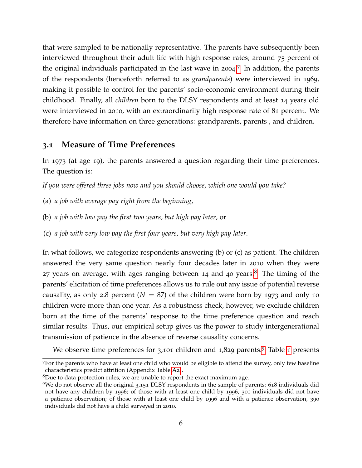that were sampled to be nationally representative. The parents have subsequently been interviewed throughout their adult life with high response rates; around 75 percent of the original individuals participated in the last wave in 2004. [7](#page-6-0) In addition, the parents of the respondents (henceforth referred to as *grandparents*) were interviewed in 1969, making it possible to control for the parents' socio-economic environment during their childhood. Finally, all *children* born to the DLSY respondents and at least 14 years old were interviewed in 2010, with an extraordinarily high response rate of 81 percent. We therefore have information on three generations: grandparents, parents , and children.

#### **3.1 Measure of Time Preferences**

In 1973 (at age 19), the parents answered a question regarding their time preferences. The question is:

*If you were offered three jobs now and you should choose, which one would you take?*

- (a) *a job with average pay right from the beginning*,
- (b) *a job with low pay the first two years, but high pay later*, or
- (c) *a job with very low pay the first four years, but very high pay later*.

In what follows, we categorize respondents answering (b) or (c) as patient. The children answered the very same question nearly four decades later in 2010 when they were 27 years on average, with ages ranging between 14 and 40 years.<sup>[8](#page-6-1)</sup> The timing of the parents' elicitation of time preferences allows us to rule out any issue of potential reverse causality, as only 2.8 percent  $(N = 87)$  of the children were born by 1973 and only 10 children were more than one year. As a robustness check, however, we exclude children born at the time of the parents' response to the time preference question and reach similar results. Thus, our empirical setup gives us the power to study intergenerational transmission of patience in the absence of reverse causality concerns.

We observe time preferences for  $3,101$  $3,101$  $3,101$  children and  $1,829$  $1,829$  parents.<sup>9</sup> Table 1 presents

<span id="page-6-0"></span><sup>7</sup>For the parents who have at least one child who would be eligible to attend the survey, only few baseline characteristics predict attrition (Appendix Table [A](#page-32-0)2).

<span id="page-6-1"></span> $8$ Due to data protection rules, we are unable to report the exact maximum age.

<span id="page-6-2"></span><sup>9</sup>We do not observe all the original 3,151 DLSY respondents in the sample of parents: 618 individuals did not have any children by 1996; of those with at least one child by 1996, 301 individuals did not have a patience observation; of those with at least one child by 1996 and with a patience observation, 390 individuals did not have a child surveyed in 2010.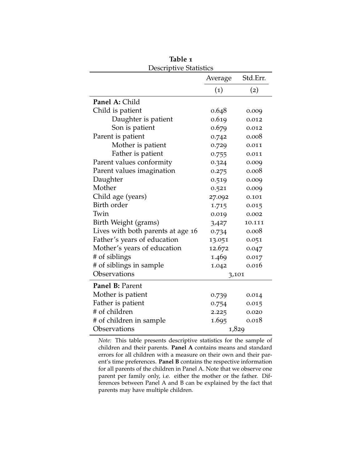<span id="page-7-0"></span>

| <u>Descriptive Statistics</u>     |                   |          |  |  |  |  |
|-----------------------------------|-------------------|----------|--|--|--|--|
|                                   | Average           | Std.Err. |  |  |  |  |
|                                   | $\left( 1\right)$ | (2)      |  |  |  |  |
| Panel A: Child                    |                   |          |  |  |  |  |
| Child is patient                  | 0.648             | 0.009    |  |  |  |  |
| Daughter is patient               | 0.619             | 0.012    |  |  |  |  |
| Son is patient                    | 0.679             | 0.012    |  |  |  |  |
| Parent is patient                 | 0.742             | 0.008    |  |  |  |  |
| Mother is patient                 | 0.729             | 0.011    |  |  |  |  |
| Father is patient                 | 0.755             | 0.011    |  |  |  |  |
| Parent values conformity          | 0.324             | 0.009    |  |  |  |  |
| Parent values imagination         | 0.275             | 0.008    |  |  |  |  |
| Daughter                          | 0.519             | 0.009    |  |  |  |  |
| Mother                            | 0.521             | 0.009    |  |  |  |  |
| Child age (years)                 | 27.092            | 0.101    |  |  |  |  |
| Birth order                       | 1.715             | 0.015    |  |  |  |  |
| Twin                              | 0.019             | 0.002    |  |  |  |  |
| Birth Weight (grams)              | 3,427             | 10.111   |  |  |  |  |
| Lives with both parents at age 16 | 0.734             | 0.008    |  |  |  |  |
| Father's years of education       | 13.051            | 0.051    |  |  |  |  |
| Mother's years of education       | 12.672            | 0.047    |  |  |  |  |
| # of siblings                     | 1.469             | 0.017    |  |  |  |  |
| # of siblings in sample           | 1.042             | 0.016    |  |  |  |  |
| Observations                      | 3,101             |          |  |  |  |  |
| Panel B: Parent                   |                   |          |  |  |  |  |
| Mother is patient                 | 0.739             | 0.014    |  |  |  |  |
| Father is patient                 | 0.754             | 0.015    |  |  |  |  |
| # of children                     | 2.225             | 0.020    |  |  |  |  |
| # of children in sample           | 1.695             | 0.018    |  |  |  |  |
| Observations                      | 1,829             |          |  |  |  |  |

**Table 1**

*Note:* This table presents descriptive statistics for the sample of children and their parents. **Panel A** contains means and standard errors for all children with a measure on their own and their parent's time preferences. **Panel B** contains the respective information for all parents of the children in Panel A. Note that we observe one parent per family only, i.e. either the mother or the father. Differences between Panel A and B can be explained by the fact that parents may have multiple children.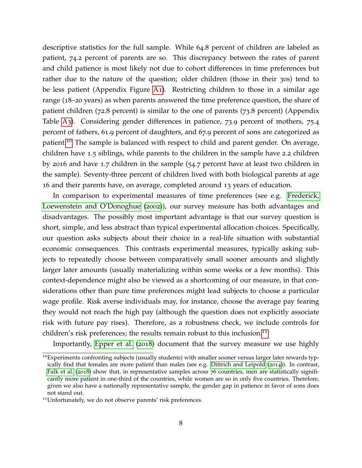descriptive statistics for the full sample. While 64.8 percent of children are labeled as patient, 74.2 percent of parents are so. This discrepancy between the rates of parent and child patience is most likely not due to cohort differences in time preferences but rather due to the nature of the question; older children (those in their 30s) tend to be less patient (Appendix Figure [A](#page-41-0)1). Restricting children to those in a similar age range (18–20 years) as when parents answered the time preference question, the share of patient children (72.8 percent) is similar to the one of parents (73.8 percent) (Appendix Table [A](#page-32-1)3). Considering gender differences in patience, 73.9 percent of mothers, 75.4 percent of fathers, 61.9 percent of daughters, and 67.9 percent of sons are categorized as patient.[10](#page-8-0) The sample is balanced with respect to child and parent gender. On average, children have 1.5 siblings, while parents to the children in the sample have 2.2 children by 2016 and have 1.7 children in the sample (54.7 percent have at least two children in the sample). Seventy-three percent of children lived with both biological parents at age 16 and their parents have, on average, completed around 13 years of education.

In comparison to experimental measures of time preferences (see e.g. [Frederick,](#page-29-9) [Loewenstein and O'Donoghue](#page-29-9) ([2002](#page-29-9))), our survey measure has both advantages and disadvantages. The possibly most important advantage is that our survey question is short, simple, and less abstract than typical experimental allocation choices. Specifically, our question asks subjects about their choice in a real-life situation with substantial economic consequences. This contrasts experimental measures, typically asking subjects to repeatedly choose between comparatively small sooner amounts and slightly larger later amounts (usually materializing within some weeks or a few months). This context-dependence might also be viewed as a shortcoming of our measure, in that considerations other than pure time preferences might lead subjects to choose a particular wage profile. Risk averse individuals may, for instance, choose the average pay fearing they would not reach the high pay (although the question does not explicitly associate risk with future pay rises). Therefore, as a robustness check, we include controls for children's risk preferences; the results remain robust to this inclusion.<sup>[11](#page-8-1)</sup>

Importantly, [Epper et al.](#page-29-0) ([2018](#page-29-0)) document that the survey measure we use highly

<span id="page-8-0"></span><sup>10</sup>Experiments confronting subjects (usually students) with smaller sooner versus larger later rewards typically find that females are more patient than males (see e.g. [Dittrich and Leipold](#page-29-10) ([2014](#page-29-10))). In contrast, [Falk et al.](#page-29-11) ([2018](#page-29-11)) show that, in representative samples across 76 countries, men are statistically significantly more patient in one-third of the countries, while women are so in only five countries. Therefore, given we also have a nationally representative sample, the gender gap in patience in favor of sons does not stand out.

<span id="page-8-1"></span><sup>&</sup>lt;sup>11</sup>Unfortunately, we do not observe parents' risk preferences.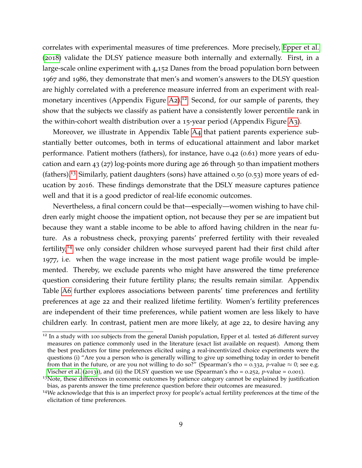correlates with experimental measures of time preferences. More precisely, [Epper et al.](#page-29-0) ([2018](#page-29-0)) validate the DLSY patience measure both internally and externally. First, in a large-scale online experiment with 4,152 Danes from the broad population born between 1967 and 1986, they demonstrate that men's and women's answers to the DLSY question are highly correlated with a preference measure inferred from an experiment with real-monetary incentives (Appendix Figure [A](#page-42-0)2).<sup>[12](#page-9-0)</sup> Second, for our sample of parents, they show that the subjects we classify as patient have a consistently lower percentile rank in the within-cohort wealth distribution over a 15-year period (Appendix Figure [A](#page-42-1)3).

Moreover, we illustrate in Appendix Table [A](#page-33-0)4 that patient parents experience substantially better outcomes, both in terms of educational attainment and labor market performance. Patient mothers (fathers), for instance, have 0.42 (0.61) more years of education and earn 43 (27) log-points more during age 26 through 50 than impatient mothers (fathers).<sup>[13](#page-9-1)</sup> Similarly, patient daughters (sons) have attained 0.50 (0.53) more years of education by 2016. These findings demonstrate that the DSLY measure captures patience well and that it is a good predictor of real-life economic outcomes.

Nevertheless, a final concern could be that—especially—women wishing to have children early might choose the impatient option, not because they per se are impatient but because they want a stable income to be able to afford having children in the near future. As a robustness check, proxying parents' preferred fertility with their revealed fertility,<sup>[14](#page-9-2)</sup> we only consider children whose surveyed parent had their first child after 1977, i.e. when the wage increase in the most patient wage profile would be implemented. Thereby, we exclude parents who might have answered the time preference question considering their future fertility plans; the results remain similar. Appendix Table [A](#page-35-0)6 further explores associations between parents' time preferences and fertility preferences at age 22 and their realized lifetime fertility. Women's fertility preferences are independent of their time preferences, while patient women are less likely to have children early. In contrast, patient men are more likely, at age 22, to desire having any

<span id="page-9-0"></span><sup>&</sup>lt;sup>12</sup> In a study with 100 subjects from the general Danish population, Epper et al. tested 26 different survey measures on patience commonly used in the literature (exact list available on request). Among them the best predictors for time preferences elicited using a real-incentivized choice experiments were the questions (i) "Are you a person who is generally willing to give up something today in order to benefit from that in the future, or are you not willing to do so?" (Spearman's rho = 0.332, *p*-value  $\approx$  0; see e.g. [Vischer et al.](#page-30-9) ([2013](#page-30-9))), and (ii) the DLSY question we use (Spearman's rho =  $0.252$ , *p*-value =  $0.001$ ).

<span id="page-9-1"></span><sup>&</sup>lt;sup>13</sup>Note, these differences in economic outcomes by patience category cannot be explained by justification bias, as parents answer the time preference question before their outcomes are measured.

<span id="page-9-2"></span><sup>14</sup>We acknowledge that this is an imperfect proxy for people's actual fertility preferences at the time of the elicitation of time preferences.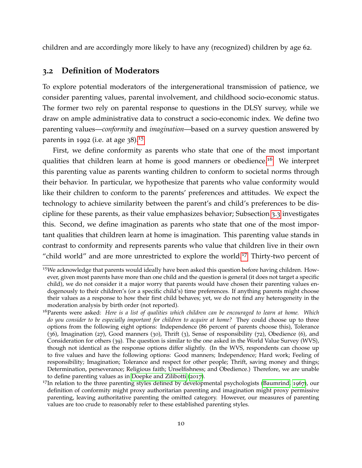children and are accordingly more likely to have any (recognized) children by age 62.

#### **3.2 Definition of Moderators**

To explore potential moderators of the intergenerational transmission of patience, we consider parenting values, parental involvement, and childhood socio-economic status. The former two rely on parental response to questions in the DLSY survey, while we draw on ample administrative data to construct a socio-economic index. We define two parenting values—*conformity* and *imagination*—based on a survey question answered by parents in 1992 (i.e. at age 38).<sup>[15](#page-10-0)</sup>

First, we define conformity as parents who state that one of the most important qualities that children learn at home is good manners or obedience.<sup>[16](#page-10-1)</sup> We interpret this parenting value as parents wanting children to conform to societal norms through their behavior. In particular, we hypothesize that parents who value conformity would like their children to conform to the parents' preferences and attitudes. We expect the technology to achieve similarity between the parent's and child's preferences to be discipline for these parents, as their value emphasizes behavior; Subsection [3](#page-12-0).3 investigates this. Second, we define imagination as parents who state that one of the most important qualities that children learn at home is imagination. This parenting value stands in contrast to conformity and represents parents who value that children live in their own "child world" and are more unrestricted to explore the world.<sup>[17](#page-10-2)</sup> Thirty-two percent of

<span id="page-10-0"></span><sup>15</sup>We acknowledge that parents would ideally have been asked this question before having children. However, given most parents have more than one child and the question is general (it does not target a specific child), we do not consider it a major worry that parents would have chosen their parenting values endogenously to their children's (or a specific child's) time preferences. If anything parents might choose their values as a response to how their first child behaves; yet, we do not find any heterogeneity in the moderation analysis by birth order (not reported).

<span id="page-10-1"></span><sup>16</sup>Parents were asked: *Here is a list of qualities which children can be encouraged to learn at home. Which do you consider to be especially important for children to acquire at home?* They could choose up to three options from the following eight options: Independence (86 percent of parents choose this), Tolerance (36), Imagination (27), Good manners (30), Thrift (3), Sense of responsibility (72), Obedience (6), and Consideration for others (39). The question is similar to the one asked in the World Value Survey (WVS), though not identical as the response options differ slightly. (In the WVS, respondents can choose up to five values and have the following options: Good manners; Independence; Hard work; Feeling of responsibility; Imagination; Tolerance and respect for other people; Thrift, saving money and things; Determination, perseverance; Religious faith; Unselfishness; and Obedience.) Therefore, we are unable to define parenting values as in [Doepke and Zilibotti](#page-29-7) ([2017](#page-29-7)).

<span id="page-10-2"></span> $^{17}$ In relation to the three parenting styles defined by developmental psychologists [\(Baumrind,](#page-28-4) [1967](#page-28-4)), our definition of conformity might proxy authoritarian parenting and imagination might proxy permissive parenting, leaving authoritative parenting the omitted category. However, our measures of parenting values are too crude to reasonably refer to these established parenting styles.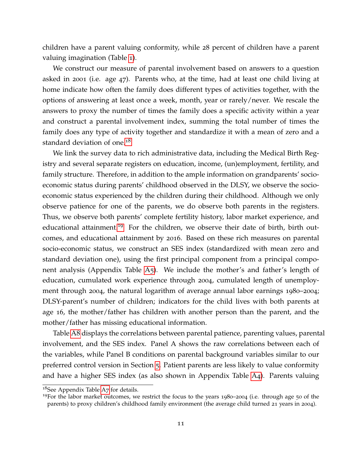children have a parent valuing conformity, while 28 percent of children have a parent valuing imagination (Table [1](#page-7-0)).

We construct our measure of parental involvement based on answers to a question asked in 2001 (i.e. age 47). Parents who, at the time, had at least one child living at home indicate how often the family does different types of activities together, with the options of answering at least once a week, month, year or rarely/never. We rescale the answers to proxy the number of times the family does a specific activity within a year and construct a parental involvement index, summing the total number of times the family does any type of activity together and standardize it with a mean of zero and a standard deviation of one.<sup>[18](#page-11-0)</sup>

We link the survey data to rich administrative data, including the Medical Birth Registry and several separate registers on education, income, (un)employment, fertility, and family structure. Therefore, in addition to the ample information on grandparents' socioeconomic status during parents' childhood observed in the DLSY, we observe the socioeconomic status experienced by the children during their childhood. Although we only observe patience for one of the parents, we do observe both parents in the registers. Thus, we observe both parents' complete fertility history, labor market experience, and educational attainment.<sup>[19](#page-11-1)</sup> For the children, we observe their date of birth, birth outcomes, and educational attainment by 2016. Based on these rich measures on parental socio-economic status, we construct an SES index (standardized with mean zero and standard deviation one), using the first principal component from a principal compo-nent analysis (Appendix Table [A](#page-34-0)5). We include the mother's and father's length of education, cumulated work experience through 2004, cumulated length of unemployment through 2004, the natural logarithm of average annual labor earnings 1980–2004; DLSY-parent's number of children; indicators for the child lives with both parents at age 16, the mother/father has children with another person than the parent, and the mother/father has missing educational information.

Table [A](#page-37-0)8 displays the correlations between parental patience, parenting values, parental involvement, and the SES index. Panel A shows the raw correlations between each of the variables, while Panel B conditions on parental background variables similar to our preferred control version in Section [5](#page-18-0). Patient parents are less likely to value conformity and have a higher SES index (as also shown in Appendix Table [A](#page-33-0)4). Parents valuing

<span id="page-11-0"></span><sup>&</sup>lt;sup>18</sup>See [A](#page-36-0)ppendix Table A7 for details.

<span id="page-11-1"></span><sup>&</sup>lt;sup>19</sup>For the labor market outcomes, we restrict the focus to the years  $1980-2004$  (i.e. through age 50 of the parents) to proxy children's childhood family environment (the average child turned 21 years in 2004).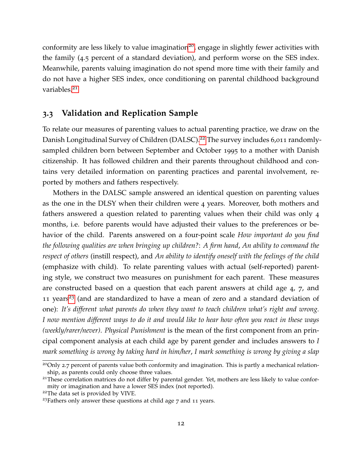conformity are less likely to value imagination<sup>[20](#page-12-1)</sup>, engage in slightly fewer activities with the family (4.5 percent of a standard deviation), and perform worse on the SES index. Meanwhile, parents valuing imagination do not spend more time with their family and do not have a higher SES index, once conditioning on parental childhood background variables.<sup>[21](#page-12-2)</sup>

### <span id="page-12-0"></span>**3.3 Validation and Replication Sample**

To relate our measures of parenting values to actual parenting practice, we draw on the Danish Longitudinal Survey of Children (DALSC).<sup>[22](#page-12-3)</sup> The survey includes 6,011 randomlysampled children born between September and October 1995 to a mother with Danish citizenship. It has followed children and their parents throughout childhood and contains very detailed information on parenting practices and parental involvement, reported by mothers and fathers respectively.

Mothers in the DALSC sample answered an identical question on parenting values as the one in the DLSY when their children were 4 years. Moreover, both mothers and fathers answered a question related to parenting values when their child was only 4 months, i.e. before parents would have adjusted their values to the preferences or behavior of the child. Parents answered on a four-point scale *How important do you find the following qualities are when bringing up children?*: *A firm hand*, *An ability to command the respect of others* (instill respect), and *An ability to identify oneself with the feelings of the child* (emphasize with child). To relate parenting values with actual (self-reported) parenting style, we construct two measures on punishment for each parent. These measures are constructed based on a question that each parent answers at child age 4, 7, and 11 years<sup>[23](#page-12-4)</sup> (and are standardized to have a mean of zero and a standard deviation of one): *It's different what parents do when they want to teach children what's right and wrong. I now mention different ways to do it and would like to hear how often you react in these ways (weekly/rarer/never)*. *Physical Punishment* is the mean of the first component from an principal component analysis at each child age by parent gender and includes answers to *I mark something is wrong by taking hard in him/her*, *I mark something is wrong by giving a slap*

<span id="page-12-1"></span><sup>&</sup>lt;sup>20</sup>Only 2.7 percent of parents value both conformity and imagination. This is partly a mechanical relationship, as parents could only choose three values.

<span id="page-12-2"></span><sup>&</sup>lt;sup>21</sup>These correlation matrices do not differ by parental gender. Yet, mothers are less likely to value conformity or imagination and have a lower SES index (not reported).

<span id="page-12-3"></span><sup>&</sup>lt;sup>22</sup>The data set is provided by VIVE.

<span id="page-12-4"></span><sup>23</sup>Fathers only answer these questions at child age 7 and 11 years.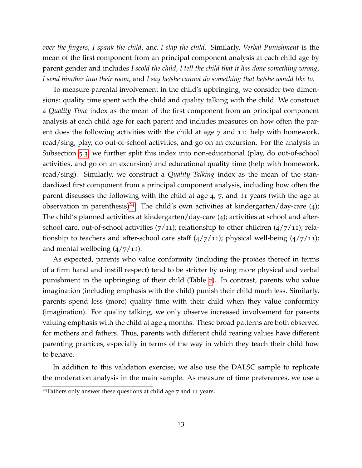*over the fingers*, *I spank the child*, and *I slap the child*. Similarly, *Verbal Punishment* is the mean of the first component from an principal component analysis at each child age by parent gender and includes *I scold the child*, *I tell the child that it has done something wrong*, *I send him/her into their room*, and *I say he/she cannot do something that he/she would like to*.

To measure parental involvement in the child's upbringing, we consider two dimensions: quality time spent with the child and quality talking with the child. We construct a *Quality Time* index as the mean of the first component from an principal component analysis at each child age for each parent and includes measures on how often the parent does the following activities with the child at age 7 and 11: help with homework, read/sing, play, do out-of-school activities, and go on an excursion. For the analysis in Subsection [5](#page-25-0).3, we further split this index into non-educational (play, do out-of-school activities, and go on an excursion) and educational quality time (help with homework, read/sing). Similarly, we construct a *Quality Talking* index as the mean of the standardized first component from a principal component analysis, including how often the parent discusses the following with the child at age 4, 7, and 11 years (with the age at observation in parenthesis)<sup>[24](#page-13-0)</sup>: The child's own activities at kindergarten/day-care  $(4)$ ; The child's planned activities at kindergarten/day-care (4); activities at school and afterschool care, out-of-school activities  $(7/11)$ ; relationship to other children  $(4/7/11)$ ; relationship to teachers and after-school care staff  $(4/7/11)$ ; physical well-being  $(4/7/11)$ ; and mental wellbeing  $\left(\frac{4}{7}\right)$  11).

As expected, parents who value conformity (including the proxies thereof in terms of a firm hand and instill respect) tend to be stricter by using more physical and verbal punishment in the upbringing of their child (Table [2](#page-14-0)). In contrast, parents who value imagination (including emphasis with the child) punish their child much less. Similarly, parents spend less (more) quality time with their child when they value conformity (imagination). For quality talking, we only observe increased involvement for parents valuing emphasis with the child at age 4 months. These broad patterns are both observed for mothers and fathers. Thus, parents with different child rearing values have different parenting practices, especially in terms of the way in which they teach their child how to behave.

In addition to this validation exercise, we also use the DALSC sample to replicate the moderation analysis in the main sample. As measure of time preferences, we use a

<span id="page-13-0"></span><sup>24</sup>Fathers only answer these questions at child age 7 and 11 years.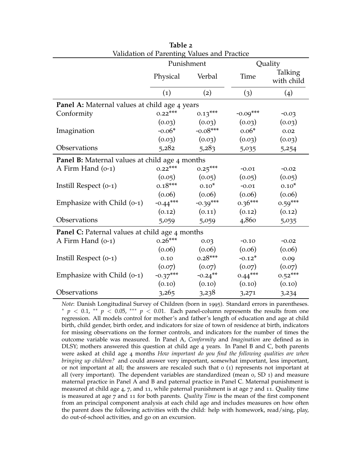<span id="page-14-0"></span>

| Validation of Parenting Values and Practice    |                       |            |            |                       |  |  |  |
|------------------------------------------------|-----------------------|------------|------------|-----------------------|--|--|--|
|                                                | Punishment<br>Quality |            |            |                       |  |  |  |
|                                                | Physical              | Verbal     | Time       | Talking<br>with child |  |  |  |
|                                                | $\left( 1\right)$     | (2)        | (3)        | (4)                   |  |  |  |
| Panel A: Maternal values at child age 4 years  |                       |            |            |                       |  |  |  |
| Conformity                                     | $0.22***$             | $0.13***$  | $-0.09***$ | $-0.03$               |  |  |  |
|                                                | (0.03)                | (0.03)     | (0.03)     | (0.03)                |  |  |  |
| Imagination                                    | $-0.06*$              | $-0.08***$ | $0.06*$    | 0.02                  |  |  |  |
|                                                | (0.03)                | (0.03)     | (0.03)     | (0.03)                |  |  |  |
| Observations                                   | 5,282                 | 5,283      | 5,035      | 5,254                 |  |  |  |
| Panel B: Maternal values at child age 4 months |                       |            |            |                       |  |  |  |
| A Firm Hand (0-1)                              | $0.22***$             | $0.25***$  | $-0.01$    | $-0.02$               |  |  |  |
|                                                | (0.05)                | (0.05)     | (0.05)     | (0.05)                |  |  |  |
| Instill Respect (o-1)                          | $0.18***$             | $0.10*$    | $-0.01$    | $0.10*$               |  |  |  |
|                                                | (0.06)                | (0.06)     | (0.06)     | (0.06)                |  |  |  |
| Emphasize with Child (0-1)                     | $-0.44***$            | $-0.39***$ | $0.36***$  | $0.59***$             |  |  |  |
|                                                | (0.12)                | (0.11)     | (0.12)     | (0.12)                |  |  |  |
| Observations                                   | 5,059                 | 5,059      | 4,860      | 5,035                 |  |  |  |
| Panel C: Paternal values at child age 4 months |                       |            |            |                       |  |  |  |
| A Firm Hand (o-1)                              | $0.26***$             | 0.03       | $-0.10$    | $-0.02$               |  |  |  |
|                                                | (0.06)                | (0.06)     | (0.06)     | (0.06)                |  |  |  |
| Instill Respect (o-1)                          | 0.10                  | $0.28***$  | $-0.12*$   | 0.09                  |  |  |  |
|                                                | (0.07)                | (0.07)     | (0.07)     | (0.07)                |  |  |  |
| Emphasize with Child (0-1)                     | $-0.37***$            | $-0.24$ ** | $0.44***$  | $0.52***$             |  |  |  |
|                                                | (0.10)                | (0.10)     | (0.10)     | (0.10)                |  |  |  |
| Observations                                   | 3,265                 | 3,238      | 3,271      | 3,234                 |  |  |  |

**Table 2**

*Note*: Danish Longitudinal Survey of Children (born in 1995). Standard errors in parentheses.  $p \leq 0.1$ ,  $\ast p \leq 0.05$ ,  $\ast \ast p \leq 0.01$ . Each panel-column represents the results from one regression. All models control for mother's and father's length of education and age at child birth, child gender, birth order, and indicators for size of town of residence at birth, indicators for missing observations on the former controls, and indicators for the number of times the outcome variable was measured. In Panel A, *Conformity* and *Imagination* are defined as in DLSY; mothers answered this question at child age 4 years. In Panel B and C, both parents were asked at child age 4 months *How important do you find the following qualities are when bringing up children?* and could answer very important, somewhat important, less important, or not important at all; the answers are rescaled such that 0 (1) represents not important at all (very important). The dependent variables are standardized (mean 0, SD 1) and measure maternal practice in Panel A and B and paternal practice in Panel C. Maternal punishment is measured at child age 4, 7, and 11, while paternal punishment is at age 7 and 11. Quality time is measured at age 7 and 11 for both parents. *Quality Time* is the mean of the first component from an principal component analysis at each child age and includes measures on how often the parent does the following activities with the child: help with homework, read/sing, play, do out-of-school activities, and go on an excursion.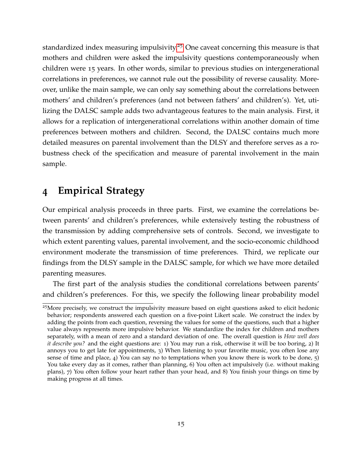standardized index measuring impulsivity.<sup>[25](#page-15-1)</sup> One caveat concerning this measure is that mothers and children were asked the impulsivity questions contemporaneously when children were 15 years. In other words, similar to previous studies on intergenerational correlations in preferences, we cannot rule out the possibility of reverse causality. Moreover, unlike the main sample, we can only say something about the correlations between mothers' and children's preferences (and not between fathers' and children's). Yet, utilizing the DALSC sample adds two advantageous features to the main analysis. First, it allows for a replication of intergenerational correlations within another domain of time preferences between mothers and children. Second, the DALSC contains much more detailed measures on parental involvement than the DLSY and therefore serves as a robustness check of the specification and measure of parental involvement in the main sample.

### <span id="page-15-0"></span>**4 Empirical Strategy**

Our empirical analysis proceeds in three parts. First, we examine the correlations between parents' and children's preferences, while extensively testing the robustness of the transmission by adding comprehensive sets of controls. Second, we investigate to which extent parenting values, parental involvement, and the socio-economic childhood environment moderate the transmission of time preferences. Third, we replicate our findings from the DLSY sample in the DALSC sample, for which we have more detailed parenting measures.

The first part of the analysis studies the conditional correlations between parents' and children's preferences. For this, we specify the following linear probability model

<span id="page-15-1"></span><sup>25</sup>More precisely, we construct the impulsivity measure based on eight questions asked to elicit hedonic behavior; respondents answered each question on a five-point Likert scale. We construct the index by adding the points from each question, reversing the values for some of the questions, such that a higher value always represents more impulsive behavior. We standardize the index for children and mothers separately, with a mean of zero and a standard deviation of one. The overall question is *How well does it describe you?* and the eight questions are: 1) You may run a risk, otherwise it will be too boring, 2) It annoys you to get late for appointments, 3) When listening to your favorite music, you often lose any sense of time and place, 4) You can say no to temptations when you know there is work to be done, 5) You take every day as it comes, rather than planning, 6) You often act impulsively (i.e. without making plans), 7) You often follow your heart rather than your head, and 8) You finish your things on time by making progress at all times.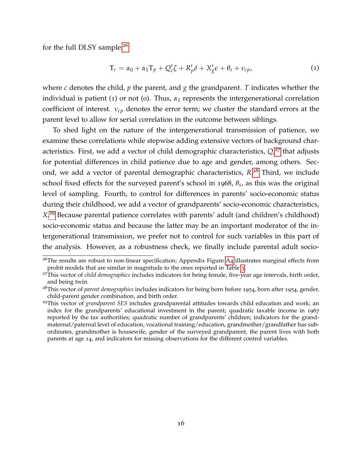for the full DLSY sample:<sup>[26](#page-16-0)</sup>

$$
T_c = \alpha_0 + \alpha_1 T_p + Q_c' \zeta + R_p' \delta + X_g' \epsilon + \theta_s + \nu_{cp},
$$
\n(1)

where *c* denotes the child, *p* the parent, and *g* the grandparent. *T* indicates whether the individual is patient  $(1)$  or not  $(0)$ . Thus,  $\alpha_1$  represents the intergenerational correlation coefficient of interest. *νcp* denotes the error term; we cluster the standard errors at the parent level to allow for serial correlation in the outcome between siblings.

To shed light on the nature of the intergenerational transmission of patience, we examine these correlations while stepwise adding extensive vectors of background characteristics. First, we add a vector of child demographic characteristics, *Q*, [27](#page-16-1) that adjusts for potential differences in child patience due to age and gender, among others. Second, we add a vector of parental demographic characteristics, *R*. [28](#page-16-2) Third, we include school fixed effects for the surveyed parent's school in 1968,  $\theta_s$ , as this was the original level of sampling. Fourth, to control for differences in parents' socio-economic status during their childhood, we add a vector of grandparents' socio-economic characteristics, *X*. [29](#page-16-3) Because parental patience correlates with parents' adult (and children's childhood) socio-economic status and because the latter may be an important moderator of the intergenerational transmission, we prefer not to control for such variables in this part of the analysis. However, as a robustness check, we finally include parental adult socio-

<span id="page-16-0"></span> $26$ The results are robust to non-linear specification; [A](#page-43-0)ppendix Figure A4 illustrates marginal effects from probit models that are similar in magnitude to the ones reported in Table [3](#page-20-0).

<span id="page-16-1"></span><sup>27</sup>This vector of *child demographics* includes indicators for being female, five-year age intervals, birth order, and being twin.

<span id="page-16-2"></span><sup>28</sup>This vector of *parent demographics* includes indicators for being born before 1954, born after 1954, gender, child-parent gender combination, and birth order.

<span id="page-16-3"></span><sup>29</sup>This vector of *grandparent SES* includes grandparental attitudes towards child education and work; an index for the grandparents' educational investment in the parent; quadratic taxable income in 1967 reported by the tax authorities; quadratic number of grandparents' children; indicators for the grandmaternal/paternal level of education, vocational training/education, grandmother/grandfather has subordinates, grandmother is housewife, gender of the surveyed grandparent, the parent lives with both parents at age 14, and indicators for missing observations for the different control variables.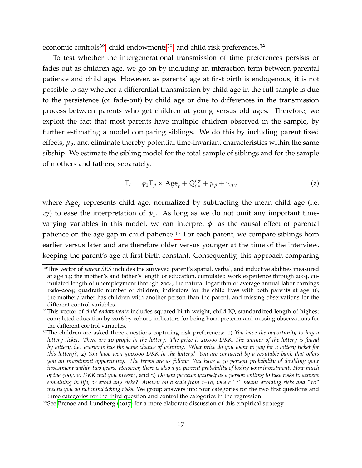economic controls<sup>[30](#page-17-0)</sup>, child endowments<sup>[31](#page-17-1)</sup>, and child risk preferences.<sup>[32](#page-17-2)</sup>

To test whether the intergenerational transmission of time preferences persists or fades out as children age, we go on by including an interaction term between parental patience and child age. However, as parents' age at first birth is endogenous, it is not possible to say whether a differential transmission by child age in the full sample is due to the persistence (or fade-out) by child age or due to differences in the transmission process between parents who get children at young versus old ages. Therefore, we exploit the fact that most parents have multiple children observed in the sample, by further estimating a model comparing siblings. We do this by including parent fixed effects,  $\mu_p$ , and eliminate thereby potential time-invariant characteristics within the same sibship. We estimate the sibling model for the total sample of siblings and for the sample of mothers and fathers, separately:

$$
T_c = \phi_1 T_p \times \text{Age}_c + Q_c' \zeta + \mu_p + \nu_{cp}, \qquad (2)
$$

where Age*<sup>c</sup>* represents child age, normalized by subtracting the mean child age (i.e. 27) to ease the interpretation of  $φ_1$ . As long as we do not omit any important timevarying variables in this model, we can interpret  $\phi_1$  as the causal effect of parental patience on the age gap in child patience.<sup>[33](#page-17-3)</sup> For each parent, we compare siblings born earlier versus later and are therefore older versus younger at the time of the interview, keeping the parent's age at first birth constant. Consequently, this approach comparing

<span id="page-17-3"></span><sup>33</sup>See [Brenøe and Lundberg](#page-29-12) ([2017](#page-29-12)) for a more elaborate discussion of this empirical strategy.

<span id="page-17-0"></span><sup>&</sup>lt;sup>30</sup>This vector of *parent SES* includes the surveyed parent's spatial, verbal, and inductive abilities measured at age 14; the mother's and father's length of education, cumulated work experience through 2004, cumulated length of unemployment through 2004, the natural logarithm of average annual labor earnings 1980–2004; quadratic number of children; indicators for the child lives with both parents at age 16, the mother/father has children with another person than the parent, and missing observations for the different control variables.

<span id="page-17-1"></span><sup>31</sup>This vector of *child endowments* includes squared birth weight, child IQ, standardized length of highest completed education by 2016 by cohort; indicators for being born preterm and missing observations for the different control variables.

<span id="page-17-2"></span><sup>32</sup>The children are asked three questions capturing risk preferences: 1) *You have the opportunity to buy a lottery ticket. There are 10 people in the lottery. The prize is 20,000 DKK. The winner of the lottery is found by lottery, i.e. everyone has the same chance of winning. What price do you want to pay for a lottery ticket for this lottery?*, 2) *You have won 500,000 DKK in the lottery! You are contacted by a reputable bank that offers you an investment opportunity. The terms are as follow: You have a 50 percent probability of doubling your investment within two years. However, there is also a 50 percent probability of losing your investment. How much of the 500,000 DKK will you invest?*, and 3) *Do you perceive yourself as a person willing to take risks to achieve something in life, or avoid any risks? Answer on a scale from 1–10, where "1" means avoiding risks and "10" means you do not mind taking risks.* We group answers into four categories for the two first questions and three categories for the third question and control the categories in the regression.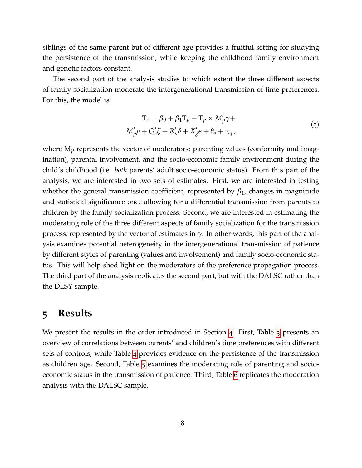siblings of the same parent but of different age provides a fruitful setting for studying the persistence of the transmission, while keeping the childhood family environment and genetic factors constant.

The second part of the analysis studies to which extent the three different aspects of family socialization moderate the intergenerational transmission of time preferences. For this, the model is:

$$
T_c = \beta_0 + \beta_1 T_p + T_p \times M'_p \gamma +
$$
  

$$
M'_p \rho + Q'_c \zeta + R'_p \delta + X'_g \epsilon + \theta_s + \nu_{cp},
$$
  
(3)

where  $M_p$  represents the vector of moderators: parenting values (conformity and imagination), parental involvement, and the socio-economic family environment during the child's childhood (i.e. *both* parents' adult socio-economic status). From this part of the analysis, we are interested in two sets of estimates. First, we are interested in testing whether the general transmission coefficient, represented by *β*1, changes in magnitude and statistical significance once allowing for a differential transmission from parents to children by the family socialization process. Second, we are interested in estimating the moderating role of the three different aspects of family socialization for the transmission process, represented by the vector of estimates in *γ*. In other words, this part of the analysis examines potential heterogeneity in the intergenerational transmission of patience by different styles of parenting (values and involvement) and family socio-economic status. This will help shed light on the moderators of the preference propagation process. The third part of the analysis replicates the second part, but with the DALSC rather than the DLSY sample.

### <span id="page-18-0"></span>**5 Results**

We present the results in the order introduced in Section [4](#page-15-0). First, Table [3](#page-20-0) presents an overview of correlations between parents' and children's time preferences with different sets of controls, while Table [4](#page-22-0) provides evidence on the persistence of the transmission as children age. Second, Table [5](#page-23-0) examines the moderating role of parenting and socioeconomic status in the transmission of patience. Third, Table [6](#page-26-0) replicates the moderation analysis with the DALSC sample.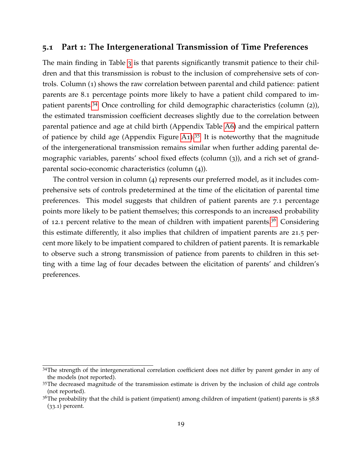### **5.1 Part 1: The Intergenerational Transmission of Time Preferences**

The main finding in Table [3](#page-20-0) is that parents significantly transmit patience to their children and that this transmission is robust to the inclusion of comprehensive sets of controls. Column (1) shows the raw correlation between parental and child patience: patient parents are 8.1 percentage points more likely to have a patient child compared to impatient parents.[34](#page-19-0) Once controlling for child demographic characteristics (column (2)), the estimated transmission coefficient decreases slightly due to the correlation between parental patience and age at child birth (Appendix Table [A](#page-35-0)6) and the empirical pattern of patience by child age (Appendix Figure [A](#page-41-0)1).<sup>[35](#page-19-1)</sup> It is noteworthy that the magnitude of the intergenerational transmission remains similar when further adding parental demographic variables, parents' school fixed effects (column (3)), and a rich set of grandparental socio-economic characteristics (column (4)).

The control version in column (4) represents our preferred model, as it includes comprehensive sets of controls predetermined at the time of the elicitation of parental time preferences. This model suggests that children of patient parents are 7.1 percentage points more likely to be patient themselves; this corresponds to an increased probability of 12.1 percent relative to the mean of children with impatient parents.<sup>[36](#page-19-2)</sup> Considering this estimate differently, it also implies that children of impatient parents are 21.5 percent more likely to be impatient compared to children of patient parents. It is remarkable to observe such a strong transmission of patience from parents to children in this setting with a time lag of four decades between the elicitation of parents' and children's preferences.

<span id="page-19-0"></span><sup>34</sup>The strength of the intergenerational correlation coefficient does not differ by parent gender in any of the models (not reported).

<span id="page-19-1"></span><sup>&</sup>lt;sup>35</sup>The decreased magnitude of the transmission estimate is driven by the inclusion of child age controls (not reported).

<span id="page-19-2"></span> $36$ The probability that the child is patient (impatient) among children of impatient (patient) parents is  $58.8$ (33.1) percent.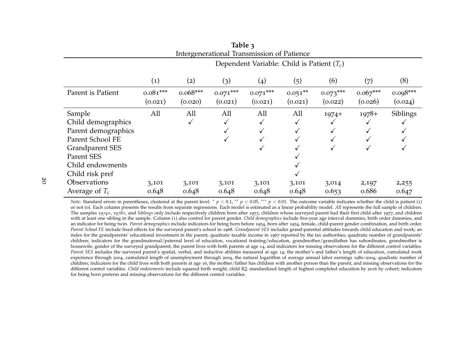<span id="page-20-1"></span>

| Table 3<br>Intergenerational Transmission of Patience |                                              |                       |                       |                       |                      |                       |                       |                       |
|-------------------------------------------------------|----------------------------------------------|-----------------------|-----------------------|-----------------------|----------------------|-----------------------|-----------------------|-----------------------|
|                                                       | Dependent Variable: Child is Patient $(T_c)$ |                       |                       |                       |                      |                       |                       |                       |
|                                                       | $\left( 1\right)$                            | (2)                   | (3)                   | $\left( 4\right)$     | (5)                  | (6)                   | (7)                   | (8)                   |
| Parent is Patient                                     | $0.081***$<br>(0.021)                        | $0.068***$<br>(0.020) | $0.071***$<br>(0.021) | $0.071***$<br>(0.021) | $0.051**$<br>(0.021) | $0.073***$<br>(0.022) | $0.067***$<br>(0.026) | $0.098***$<br>(0.024) |
| Sample                                                | All                                          | All                   | All                   | All                   | All                  | $1974+$               | $1978+$               | Siblings              |
| Child demographics                                    |                                              | √                     | $\checkmark$          |                       | ✓                    |                       |                       |                       |
| Parent demographics                                   |                                              |                       |                       |                       | $\checkmark$         |                       |                       |                       |
| Parent School FE                                      |                                              |                       |                       |                       |                      |                       |                       |                       |
| Grandparent SES                                       |                                              |                       |                       |                       |                      |                       |                       |                       |
| Parent SES                                            |                                              |                       |                       |                       |                      |                       |                       |                       |
| Child endowments                                      |                                              |                       |                       |                       |                      |                       |                       |                       |
| Child risk pref                                       |                                              |                       |                       |                       |                      |                       |                       |                       |
| Observations                                          | 3,101                                        | 3,101                 | 3,101                 | 3,101                 | 3,101                | 3,014                 | 2,197                 | 2,255                 |
| Average of $T_c$                                      | 0.648                                        | 0.648                 | 0.648                 | 0.648                 | 0.648                | 0.653                 | 0.686                 | 0.647                 |

<span id="page-20-0"></span>*Note:* Standard errors in parentheses, clustered at the parent level. \* *p* < 0.1, \*\* *p* < 0.05, \*\*\* *p* < 0.01. The outcome variable indicates whether the child is patient (1) *n* and the full separate the children and or not (0). Each column presents the results from separate regressions. Each model is estimated as <sup>a</sup> linear probability model. *All* represents the full sample of children. The samples *<sup>1974</sup>+*, *<sup>197</sup>8+*, and *Siblings* only include respectively children born after <sup>1973</sup>, children whose surveye<sup>d</sup> paren<sup>t</sup> had their first child after <sup>1977</sup>, and children with at least one sibling in the sample. Column (1) also control for paren<sup>t</sup> gender. *Child demographics* include five-year age interval dummies, birth order dummies, and an indicator for being twin. *Parent demographics* include indicators for being born before <sup>1954</sup>, born after <sup>1954</sup>, female, child-parent gender combination, and birth order. *Parent School FE* include fixed effects for the surveye<sup>d</sup> parent's school in <sup>1968</sup>. *Grandparent SES* includes grand-parental attitudes towards child education and work; an index for the grandparents' educational investment in the parent; quadratic taxable income in <sup>1967</sup> reported by the tax authorities; quadratic number of grandparents' children; indicators for the grandmaternal/paternal level of education, vocational training/education, grandmother/grandfather has subordinates, grandmother is housewife, gender of the surveyed grandparent, the paren<sup>t</sup> lives with both parents at age <sup>14</sup>, and indicators for missing observations for the different control variables. *Parent SES* includes the surveye<sup>d</sup> parent's spatial, verbal, and inductive abilities measured at age <sup>14</sup>; the mother's and father's length of education, cumulated work experience through <sup>2004</sup>, cumulated length of unemployment through <sup>2004</sup>, the natural logarithm of average annual labor earnings <sup>1980</sup>–2004; quadratic number of children; indicators for the child lives with both parents at age <sup>16</sup>, the mother/father has children with another person than the parent, and missing observations for the different control variables. *Child endowments* include square<sup>d</sup> birth weight, child IQ, standardized length of highest completed education by <sup>2016</sup> by cohort; indicators for being born preterm and missing observations for the different control variables.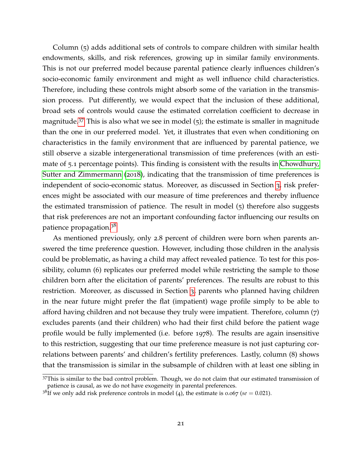Column (5) adds additional sets of controls to compare children with similar health endowments, skills, and risk references, growing up in similar family environments. This is not our preferred model because parental patience clearly influences children's socio-economic family environment and might as well influence child characteristics. Therefore, including these controls might absorb some of the variation in the transmission process. Put differently, we would expect that the inclusion of these additional, broad sets of controls would cause the estimated correlation coefficient to decrease in magnitude.<sup>[37](#page-21-0)</sup> This is also what we see in model  $(5)$ ; the estimate is smaller in magnitude than the one in our preferred model. Yet, it illustrates that even when conditioning on characteristics in the family environment that are influenced by parental patience, we still observe a sizable intergenerational transmission of time preferences (with an estimate of 5.1 percentage points). This finding is consistent with the results in [Chowdhury,](#page-29-4) [Sutter and Zimmermann](#page-29-4) ([2018](#page-29-4)), indicating that the transmission of time preferences is independent of socio-economic status. Moreover, as discussed in Section [3](#page-5-0), risk preferences might be associated with our measure of time preferences and thereby influence the estimated transmission of patience. The result in model (5) therefore also suggests that risk preferences are not an important confounding factor influencing our results on patience propagation.[38](#page-21-1)

As mentioned previously, only 2.8 percent of children were born when parents answered the time preference question. However, including those children in the analysis could be problematic, as having a child may affect revealed patience. To test for this possibility, column (6) replicates our preferred model while restricting the sample to those children born after the elicitation of parents' preferences. The results are robust to this restriction. Moreover, as discussed in Section [3](#page-5-0), parents who planned having children in the near future might prefer the flat (impatient) wage profile simply to be able to afford having children and not because they truly were impatient. Therefore, column (7) excludes parents (and their children) who had their first child before the patient wage profile would be fully implemented (i.e. before 1978). The results are again insensitive to this restriction, suggesting that our time preference measure is not just capturing correlations between parents' and children's fertility preferences. Lastly, column (8) shows that the transmission is similar in the subsample of children with at least one sibling in

<span id="page-21-0"></span><sup>&</sup>lt;sup>37</sup>This is similar to the bad control problem. Though, we do not claim that our estimated transmission of patience is causal, as we do not have exogeneity in parental preferences.

<span id="page-21-1"></span><sup>&</sup>lt;sup>38</sup>If we only add risk preference controls in model (4), the estimate is 0.067 ( $se = 0.021$ ).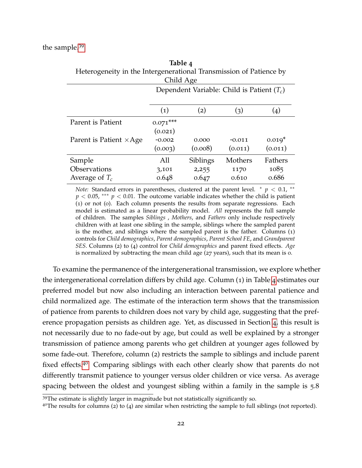<span id="page-22-0"></span>

| Heterogeneity in the Intergenerational Transmission of Patience by |                                              |          |          |          |  |  |  |  |  |  |
|--------------------------------------------------------------------|----------------------------------------------|----------|----------|----------|--|--|--|--|--|--|
| Child Age                                                          |                                              |          |          |          |  |  |  |  |  |  |
|                                                                    | Dependent Variable: Child is Patient $(T_c)$ |          |          |          |  |  |  |  |  |  |
|                                                                    |                                              |          |          |          |  |  |  |  |  |  |
|                                                                    | (1)                                          | (2)      | (3)      | (4)      |  |  |  |  |  |  |
| Parent is Patient                                                  | $0.071***$                                   |          |          |          |  |  |  |  |  |  |
|                                                                    | (0.021)                                      |          |          |          |  |  |  |  |  |  |
| Parent is Patient $\times$ Age                                     | $-0.002$                                     | 0.000    | $-0.011$ | $0.019*$ |  |  |  |  |  |  |
|                                                                    | (0.003)                                      | (0.008)  | (0.011)  | (0.011)  |  |  |  |  |  |  |
| Sample                                                             | All                                          | Siblings | Mothers  | Fathers  |  |  |  |  |  |  |
| Observations                                                       | 3,101                                        | 2,255    | 1170     | 1085     |  |  |  |  |  |  |
| Average of $T_c$                                                   | 0.648                                        | 0.647    | 0.610    | 0.686    |  |  |  |  |  |  |

**Table 4**

*Note:* Standard errors in parentheses, clustered at the parent level.  $* p < 0.1$ ,  $**$  $p < 0.05$ , \*\*\*  $p < 0.01$ . The outcome variable indicates whether the child is patient (1) or not (0). Each column presents the results from separate regressions. Each model is estimated as a linear probability model. *All* represents the full sample of children. The samples *Siblings* , *Mothers*, and *Fathers* only include respectively children with at least one sibling in the sample, siblings where the sampled parent is the mother, and siblings where the sampled parent is the father. Columns (1) controls for *Child demographics*, *Parent demographics*, *Parent School FE*, and *Grandparent SES*. Columns (2) to (4) control for *Child demographics* and parent fixed effects. *Age* is normalized by subtracting the mean child age (27 years), such that its mean is 0.

To examine the permanence of the intergenerational transmission, we explore whether the intergenerational correlation differs by child age. Column (1) in Table [4](#page-22-0) estimates our preferred model but now also including an interaction between parental patience and child normalized age. The estimate of the interaction term shows that the transmission of patience from parents to children does not vary by child age, suggesting that the preference propagation persists as children age. Yet, as discussed in Section [4](#page-15-0), this result is not necessarily due to no fade-out by age, but could as well be explained by a stronger transmission of patience among parents who get children at younger ages followed by some fade-out. Therefore, column (2) restricts the sample to siblings and include parent fixed effects.[40](#page-22-2) Comparing siblings with each other clearly show that parents do not differently transmit patience to younger versus older children or vice versa. As average spacing between the oldest and youngest sibling within a family in the sample is 5.8

<span id="page-22-1"></span><sup>39</sup>The estimate is slightly larger in magnitude but not statistically significantly so.

<span id="page-22-2"></span> $40$ The results for columns (2) to (4) are similar when restricting the sample to full siblings (not reported).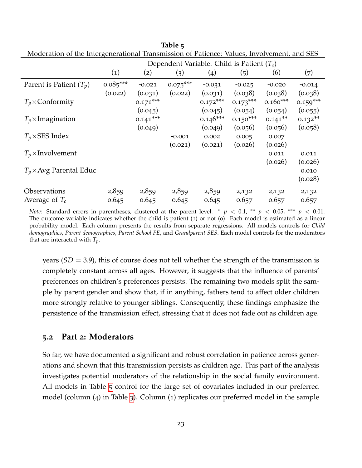|                                | O<br>Dependent Variable: Child is Patient $(T_c)$ |            |            |            |            |            |            |
|--------------------------------|---------------------------------------------------|------------|------------|------------|------------|------------|------------|
|                                | $\left( 1\right)$                                 | (2)        | (3)        | (4)        | (5)        | (6)        | (7)        |
| Parent is Patient $(T_p)$      | $0.085***$                                        | $-0.021$   | $0.075***$ | $-0.031$   | $-0.025$   | $-0.020$   | $-0.014$   |
|                                | (0.022)                                           | (0.031)    | (0.022)    | (0.031)    | (0.038)    | (0.038)    | (0.038)    |
| $T_p \times$ Conformity        |                                                   | $0.171***$ |            | $0.172***$ | $0.173***$ | $0.160***$ | $0.159***$ |
|                                |                                                   | (0.045)    |            | (0.045)    | (0.054)    | (0.054)    | (0.055)    |
| $T_p \times$ Imagination       |                                                   | $0.141***$ |            | $0.146***$ | $0.150***$ | $0.141***$ | $0.132**$  |
|                                |                                                   | (0.049)    |            | (0.049)    | (0.056)    | (0.056)    | (0.058)    |
| $T_p \times$ SES Index         |                                                   |            | $-0.001$   | 0.002      | 0.005      | 0.007      |            |
|                                |                                                   |            | (0.021)    | (0.021)    | (0.026)    | (0.026)    |            |
| $T_p \times$ Involvement       |                                                   |            |            |            |            | 0.011      | 0.011      |
|                                |                                                   |            |            |            |            | (0.026)    | (0.026)    |
| $T_p \times$ Avg Parental Educ |                                                   |            |            |            |            |            | 0.010      |
|                                |                                                   |            |            |            |            |            | (0.028)    |
| Observations                   | 2,859                                             | 2,859      | 2,859      | 2,859      | 2,132      | 2,132      | 2,132      |
| Average of $T_c$               | 0.645                                             | 0.645      | 0.645      | 0.645      | 0.657      | 0.657      | 0.657      |

<span id="page-23-0"></span>**Table 5** Moderation of the Intergenerational Transmission of Patience: Values, Involvement, and SES

*Note:* Standard errors in parentheses, clustered at the parent level. \*  $p < 0.1$ , \*\*  $p < 0.05$ , \*\*\*  $p < 0.01$ . The outcome variable indicates whether the child is patient (1) or not (0). Each model is estimated as a linear probability model. Each column presents the results from separate regressions. All models controls for *Child demographics*, *Parent demographics*, *Parent School FE*, and *Grandparent SES*. Each model controls for the moderators that are interacted with *Tp*.

years  $(SD = 3.9)$ , this of course does not tell whether the strength of the transmission is completely constant across all ages. However, it suggests that the influence of parents' preferences on children's preferences persists. The remaining two models split the sample by parent gender and show that, if in anything, fathers tend to affect older children more strongly relative to younger siblings. Consequently, these findings emphasize the persistence of the transmission effect, stressing that it does not fade out as children age.

#### **5.2 Part 2: Moderators**

So far, we have documented a significant and robust correlation in patience across generations and shown that this transmission persists as children age. This part of the analysis investigates potential moderators of the relationship in the social family environment. All models in Table [5](#page-23-0) control for the large set of covariates included in our preferred model (column (4) in Table [3](#page-20-0)). Column (1) replicates our preferred model in the sample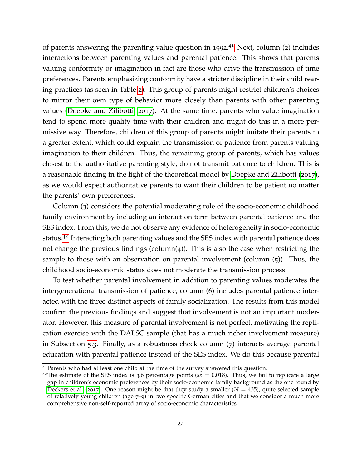of parents answering the parenting value question in 1992.<sup>[41](#page-24-0)</sup> Next, column (2) includes interactions between parenting values and parental patience. This shows that parents valuing conformity or imagination in fact are those who drive the transmission of time preferences. Parents emphasizing conformity have a stricter discipline in their child rearing practices (as seen in Table [2](#page-14-0)). This group of parents might restrict children's choices to mirror their own type of behavior more closely than parents with other parenting values [\(Doepke and Zilibotti,](#page-29-7) [2017](#page-29-7)). At the same time, parents who value imagination tend to spend more quality time with their children and might do this in a more permissive way. Therefore, children of this group of parents might imitate their parents to a greater extent, which could explain the transmission of patience from parents valuing imagination to their children. Thus, the remaining group of parents, which has values closest to the authoritative parenting style, do not transmit patience to children. This is a reasonable finding in the light of the theoretical model by [Doepke and Zilibotti](#page-29-7) ([2017](#page-29-7)), as we would expect authoritative parents to want their children to be patient no matter the parents' own preferences.

Column (3) considers the potential moderating role of the socio-economic childhood family environment by including an interaction term between parental patience and the SES index. From this, we do not observe any evidence of heterogeneity in socio-economic status.[42](#page-24-1) Interacting both parenting values and the SES index with parental patience does not change the previous findings (column(4)). This is also the case when restricting the sample to those with an observation on parental involvement (column (5)). Thus, the childhood socio-economic status does not moderate the transmission process.

To test whether parental involvement in addition to parenting values moderates the intergenerational transmission of patience, column (6) includes parental patience interacted with the three distinct aspects of family socialization. The results from this model confirm the previous findings and suggest that involvement is not an important moderator. However, this measure of parental involvement is not perfect, motivating the replication exercise with the DALSC sample (that has a much richer involvement measure) in Subsection [5](#page-25-0).3. Finally, as a robustness check column (7) interacts average parental education with parental patience instead of the SES index. We do this because parental

<span id="page-24-0"></span><sup>&</sup>lt;sup>41</sup> Parents who had at least one child at the time of the survey answered this question.

<span id="page-24-1"></span><sup>&</sup>lt;sup>42</sup>The estimate of the SES index is 3.6 percentage points ( $se = 0.018$ ). Thus, we fail to replicate a large gap in children's economic preferences by their socio-economic family background as the one found by [Deckers et al.](#page-29-8) ([2017](#page-29-8)). One reason might be that they study a smaller  $(N = 435)$ , quite selected sample of relatively young children (age 7–9) in two specific German cities and that we consider a much more comprehensive non-self-reported array of socio-economic characteristics.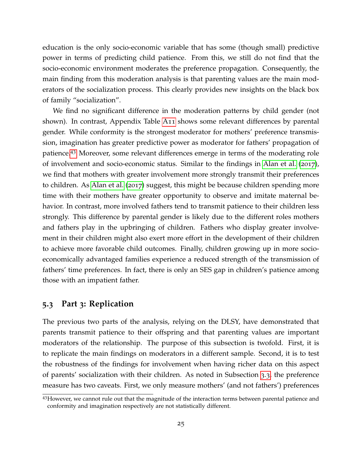education is the only socio-economic variable that has some (though small) predictive power in terms of predicting child patience. From this, we still do not find that the socio-economic environment moderates the preference propagation. Consequently, the main finding from this moderation analysis is that parenting values are the main moderators of the socialization process. This clearly provides new insights on the black box of family "socialization".

We find no significant difference in the moderation patterns by child gender (not shown). In contrast, Appendix Table [A](#page-40-0)11 shows some relevant differences by parental gender. While conformity is the strongest moderator for mothers' preference transmission, imagination has greater predictive power as moderator for fathers' propagation of patience.[43](#page-25-1) Moreover, some relevant differences emerge in terms of the moderating role of involvement and socio-economic status. Similar to the findings in [Alan et al.](#page-28-1) ([2017](#page-28-1)), we find that mothers with greater involvement more strongly transmit their preferences to children. As [Alan et al.](#page-28-1) ([2017](#page-28-1)) suggest, this might be because children spending more time with their mothers have greater opportunity to observe and imitate maternal behavior. In contrast, more involved fathers tend to transmit patience to their children less strongly. This difference by parental gender is likely due to the different roles mothers and fathers play in the upbringing of children. Fathers who display greater involvement in their children might also exert more effort in the development of their children to achieve more favorable child outcomes. Finally, children growing up in more socioeconomically advantaged families experience a reduced strength of the transmission of fathers' time preferences. In fact, there is only an SES gap in children's patience among those with an impatient father.

#### <span id="page-25-0"></span>**5.3 Part 3: Replication**

The previous two parts of the analysis, relying on the DLSY, have demonstrated that parents transmit patience to their offspring and that parenting values are important moderators of the relationship. The purpose of this subsection is twofold. First, it is to replicate the main findings on moderators in a different sample. Second, it is to test the robustness of the findings for involvement when having richer data on this aspect of parents' socialization with their children. As noted in Subsection [3](#page-12-0).3, the preference measure has two caveats. First, we only measure mothers' (and not fathers') preferences

<span id="page-25-1"></span><sup>43</sup>However, we cannot rule out that the magnitude of the interaction terms between parental patience and conformity and imagination respectively are not statistically different.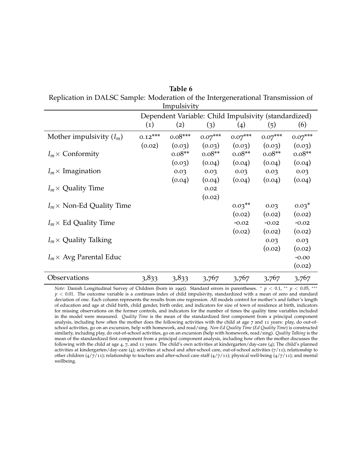|                                  |                   | Impulsivity                                          |                       |           |           |           |  |  |
|----------------------------------|-------------------|------------------------------------------------------|-----------------------|-----------|-----------|-----------|--|--|
|                                  |                   | Dependent Variable: Child Impulsivity (standardized) |                       |           |           |           |  |  |
|                                  | $\left( 1\right)$ | (2)                                                  | (3)                   | (4)       | (5)       | (6)       |  |  |
| Mother impulsivity $(I_m)$       | $0.12***$         | $0.08***$                                            | $0.07^{\ast\ast\ast}$ | $0.07***$ | $0.07***$ | $0.07***$ |  |  |
|                                  | (0.02)            | (0.03)                                               | (0.03)                | (0.03)    | (0.03)    | (0.03)    |  |  |
| $I_m \times$ Conformity          |                   | $0.08**$                                             | $0.08**$              | $0.08**$  | $0.08**$  | $0.08**$  |  |  |
|                                  |                   | (0.03)                                               | (0.04)                | (0.04)    | (0.04)    | (0.04)    |  |  |
| $I_m \times$ Imagination         |                   | 0.03                                                 | 0.03                  | 0.03      | 0.03      | 0.03      |  |  |
|                                  |                   | (0.04)                                               | (0.04)                | (0.04)    | (0.04)    | (0.04)    |  |  |
| $I_m \times$ Quality Time        |                   |                                                      | 0.02                  |           |           |           |  |  |
|                                  |                   |                                                      | (0.02)                |           |           |           |  |  |
| $I_m \times$ Non-Ed Quality Time |                   |                                                      |                       | $0.03**$  | 0.03      | $0.03*$   |  |  |
|                                  |                   |                                                      |                       | (0.02)    | (0.02)    | (0.02)    |  |  |
| $I_m \times$ Ed Quality Time     |                   |                                                      |                       | $-0.02$   | $-0.02$   | $-0.02$   |  |  |
|                                  |                   |                                                      |                       | (0.02)    | (0.02)    | (0.02)    |  |  |
| $I_m \times$ Quality Talking     |                   |                                                      |                       |           | 0.03      | 0.03      |  |  |
|                                  |                   |                                                      |                       |           | (0.02)    | (0.02)    |  |  |
| $I_m \times$ Avg Parental Educ   |                   |                                                      |                       |           |           | $-0.00$   |  |  |
|                                  |                   |                                                      |                       |           |           | (0.02)    |  |  |
| Observations                     | 3,833             | 3,833                                                | 3,767                 | 3,767     | 3,767     | 3,767     |  |  |

<span id="page-26-0"></span>**Table 6** Replication in DALSC Sample: Moderation of the Intergenerational Transmission of

*Note*: Danish Longitudinal Survey of Children (born in 1995). Standard errors in parentheses. <sup>∗</sup> *p* < 0.1, ∗∗ *p* < 0.05, ∗∗∗ *p* < 0.01. The outcome variable is a continues index of child impulsivity, standardized with a mean of zero and standard deviation of one. Each column represents the results from one regression. All models control for mother's and father's length of education and age at child birth, child gender, birth order, and indicators for size of town of residence at birth, indicators for missing observations on the former controls, and indicators for the number of times the quality time variables included in the model were measured. *Quality Time* is the mean of the standardized first component from a principal component analysis, including how often the mother does the following activities with the child at age 7 and 11 years: play, do out-ofschool activities, go on an excursion, help with homework, and read/sing. *Non-Ed Quality Time* (*Ed Quality Time*) is constructed similarly, including play, do out-of-school activities, go on an excursion (help with homework, read/sing). *Quality Talking* is the mean of the standardized first component from a principal component analysis, including how often the mother discusses the following with the child at age 4, 7, and 11 years: The child's own activities at kindergarten/day-care (4); The child's planned activities at kindergarten/day-care (4); activities at school and after-school care, out-of-school activities (7/11); relationship to other children ( $4/7/11$ ); relationship to teachers and after-school care staff ( $4/7/11$ ); physical well-being ( $4/7/11$ ); and mental wellbeing.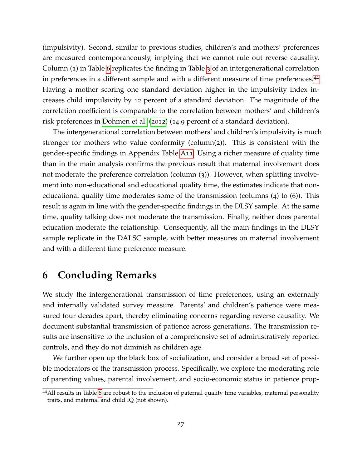(impulsivity). Second, similar to previous studies, children's and mothers' preferences are measured contemporaneously, implying that we cannot rule out reverse causality. Column (1) in Table [6](#page-26-0) replicates the finding in Table [3](#page-20-0) of an intergenerational correlation in preferences in a different sample and with a different measure of time preferences.[44](#page-27-1) Having a mother scoring one standard deviation higher in the impulsivity index increases child impulsivity by 12 percent of a standard deviation. The magnitude of the correlation coefficient is comparable to the correlation between mothers' and children's risk preferences in [Dohmen et al.](#page-29-5) ([2012](#page-29-5)) (14.9 percent of a standard deviation).

The intergenerational correlation between mothers' and children's impulsivity is much stronger for mothers who value conformity (column(2)). This is consistent with the gender-specific findings in Appendix Table [A](#page-40-0)11. Using a richer measure of quality time than in the main analysis confirms the previous result that maternal involvement does not moderate the preference correlation (column (3)). However, when splitting involvement into non-educational and educational quality time, the estimates indicate that noneducational quality time moderates some of the transmission (columns (4) to (6)). This result is again in line with the gender-specific findings in the DLSY sample. At the same time, quality talking does not moderate the transmission. Finally, neither does parental education moderate the relationship. Consequently, all the main findings in the DLSY sample replicate in the DALSC sample, with better measures on maternal involvement and with a different time preference measure.

### <span id="page-27-0"></span>**6 Concluding Remarks**

We study the intergenerational transmission of time preferences, using an externally and internally validated survey measure. Parents' and children's patience were measured four decades apart, thereby eliminating concerns regarding reverse causality. We document substantial transmission of patience across generations. The transmission results are insensitive to the inclusion of a comprehensive set of administratively reported controls, and they do not diminish as children age.

We further open up the black box of socialization, and consider a broad set of possible moderators of the transmission process. Specifically, we explore the moderating role of parenting values, parental involvement, and socio-economic status in patience prop-

<span id="page-27-1"></span><sup>44</sup>All results in Table [6](#page-26-0) are robust to the inclusion of paternal quality time variables, maternal personality traits, and maternal and child IQ (not shown).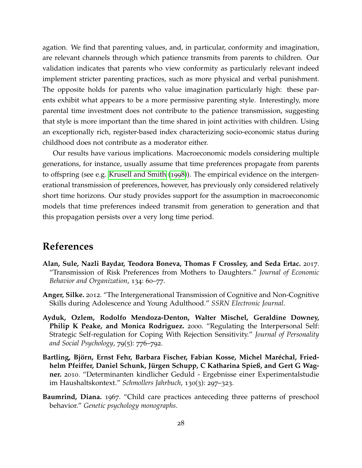<span id="page-28-5"></span>agation. We find that parenting values, and, in particular, conformity and imagination, are relevant channels through which patience transmits from parents to children. Our validation indicates that parents who view conformity as particularly relevant indeed implement stricter parenting practices, such as more physical and verbal punishment. The opposite holds for parents who value imagination particularly high: these parents exhibit what appears to be a more permissive parenting style. Interestingly, more parental time investment does not contribute to the patience transmission, suggesting that style is more important than the time shared in joint activities with children. Using an exceptionally rich, register-based index characterizing socio-economic status during childhood does not contribute as a moderator either.

Our results have various implications. Macroeconomic models considering multiple generations, for instance, usually assume that time preferences propagate from parents to offspring (see e.g. [Krusell and Smith](#page-30-10) ([1998](#page-30-10))). The empirical evidence on the intergenerational transmission of preferences, however, has previously only considered relatively short time horizons. Our study provides support for the assumption in macroeconomic models that time preferences indeed transmit from generation to generation and that this propagation persists over a very long time period.

### **References**

- <span id="page-28-1"></span>**Alan, Sule, Nazli Baydar, Teodora Boneva, Thomas F Crossley, and Seda Ertac.** 2017. "Transmission of Risk Preferences from Mothers to Daughters." *Journal of Economic Behavior and Organization*, 134: 60–77.
- <span id="page-28-2"></span>**Anger, Silke.** 2012. "The Intergenerational Transmission of Cognitive and Non-Cognitive Skills during Adolescence and Young Adulthood." *SSRN Electronic Journal*.
- <span id="page-28-0"></span>**Ayduk, Ozlem, Rodolfo Mendoza-Denton, Walter Mischel, Geraldine Downey, Philip K Peake, and Monica Rodriguez.** 2000. "Regulating the Interpersonal Self: Strategic Self-regulation for Coping With Rejection Sensitivity." *Journal of Personality and Social Psychology*, 79(5): 776–792.
- <span id="page-28-3"></span>**Bartling, Björn, Ernst Fehr, Barbara Fischer, Fabian Kosse, Michel Maréchal, Friedhelm Pfeiffer, Daniel Schunk, Jurgen Schupp, C Katharina Spieß, and Gert G Wag- ¨ ner.** 2010. "Determinanten kindlicher Geduld - Ergebnisse einer Experimentalstudie im Haushaltskontext." *Schmollers Jahrbuch*, 130(3): 297–323.
- <span id="page-28-4"></span>**Baumrind, Diana.** 1967. "Child care practices anteceding three patterns of preschool behavior." *Genetic psychology monographs*.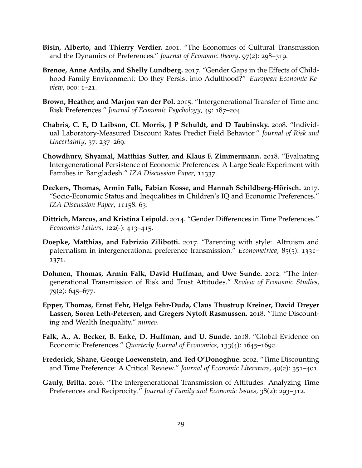- <span id="page-29-15"></span><span id="page-29-14"></span><span id="page-29-13"></span><span id="page-29-2"></span>**Bisin, Alberto, and Thierry Verdier.** 2001. "The Economics of Cultural Transmission and the Dynamics of Preferences." *Journal of Economic theory*, 97(2): 298–319.
- <span id="page-29-12"></span>**Brenøe, Anne Ardila, and Shelly Lundberg.** 2017. "Gender Gaps in the Effects of Childhood Family Environment: Do they Persist into Adulthood?" *European Economic Review*, 000: 1–21.
- <span id="page-29-3"></span>**Brown, Heather, and Marjon van der Pol.** 2015. "Intergenerational Transfer of Time and Risk Preferences." *Journal of Economic Psychology*, 49: 187–204.
- <span id="page-29-1"></span>**Chabris, C. F., D Laibson, CL Morris, J P Schuldt, and D Taubinsky.** 2008. "Individual Laboratory-Measured Discount Rates Predict Field Behavior." *Journal of Risk and Uncertainty*, 37: 237–269.
- <span id="page-29-4"></span>**Chowdhury, Shyamal, Matthias Sutter, and Klaus F. Zimmermann.** 2018. "Evaluating Intergenerational Persistence of Economic Preferences: A Large Scale Experiment with Families in Bangladesh." *IZA Discussion Paper*, 11337.
- <span id="page-29-8"></span>**Deckers, Thomas, Armin Falk, Fabian Kosse, and Hannah Schildberg-Horisch. ¨** 2017. "Socio-Economic Status and Inequalities in Children's IQ and Economic Preferences." *IZA Discussion Paper*, 11158: 63.
- <span id="page-29-10"></span>**Dittrich, Marcus, and Kristina Leipold.** 2014. "Gender Differences in Time Preferences." *Economics Letters*, 122(-): 413–415.
- <span id="page-29-7"></span>**Doepke, Matthias, and Fabrizio Zilibotti.** 2017. "Parenting with style: Altruism and paternalism in intergenerational preference transmission." *Econometrica*, 85(5): 1331– 1371.
- <span id="page-29-5"></span>**Dohmen, Thomas, Armin Falk, David Huffman, and Uwe Sunde.** 2012. "The Intergenerational Transmission of Risk and Trust Attitudes." *Review of Economic Studies*, 79(2): 645–677.
- <span id="page-29-0"></span>**Epper, Thomas, Ernst Fehr, Helga Fehr-Duda, Claus Thustrup Kreiner, David Dreyer Lassen, Søren Leth-Petersen, and Gregers Nytoft Rasmussen.** 2018. "Time Discounting and Wealth Inequality." *mimeo*.
- <span id="page-29-11"></span>**Falk, A., A. Becker, B. Enke, D. Huffman, and U. Sunde.** 2018. "Global Evidence on Economic Preferences." *Quarterly Journal of Economics*, 133(4): 1645–1692.
- <span id="page-29-9"></span>**Frederick, Shane, George Loewenstein, and Ted O'Donoghue.** 2002. "Time Discounting and Time Preference: A Critical Review." *Journal of Economic Literature*, 40(2): 351–401.
- <span id="page-29-6"></span>**Gauly, Britta.** 2016. "The Intergenerational Transmission of Attitudes: Analyzing Time Preferences and Reciprocity." *Journal of Family and Economic Issues*, 38(2): 293–312.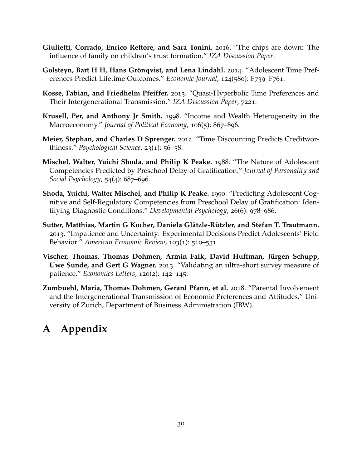- <span id="page-30-11"></span><span id="page-30-6"></span>**Giulietti, Corrado, Enrico Rettore, and Sara Tonini.** 2016. "The chips are down: The influence of family on children's trust formation." *IZA Discussion Paper*.
- <span id="page-30-0"></span>**Golsteyn, Bart H H, Hans Grönqvist, and Lena Lindahl.** 2014. "Adolescent Time Preferences Predict Lifetime Outcomes." *Economic Journal*, 124(580): F739–F761.
- <span id="page-30-7"></span>**Kosse, Fabian, and Friedhelm Pfeiffer.** 2013. "Quasi-Hyperbolic Time Preferences and Their Intergenerational Transmission." *IZA Discussion Paper*, 7221.
- <span id="page-30-10"></span>**Krusell, Per, and Anthony Jr Smith.** 1998. "Income and Wealth Heterogeneity in the Macroeconomy." *Journal of Political Economy*, 106(5): 867–896.
- <span id="page-30-2"></span>**Meier, Stephan, and Charles D Sprenger.** 2012. "Time Discounting Predicts Creditworthiness." *Psychological Science*, 23(1): 56–58.
- <span id="page-30-1"></span>**Mischel, Walter, Yuichi Shoda, and Philip K Peake.** 1988. "The Nature of Adolescent Competencies Predicted by Preschool Delay of Gratification." *Journal of Personality and Social Psychology*, 54(4): 687–696.
- <span id="page-30-3"></span>**Shoda, Yuichi, Walter Mischel, and Philip K Peake.** 1990. "Predicting Adolescent Cognitive and Self-Regulatory Competencies from Preschool Delay of Gratification: Identifying Diagnostic Conditions." *Developmental Psychology*, 26(6): 978–986.
- <span id="page-30-4"></span>**Sutter, Matthias, Martin G Kocher, Daniela Glatzle-R ¨ utzler, and Stefan T. Trautmann. ¨** 2013. "Impatience and Uncertainty: Experimental Decisions Predict Adolescents' Field Behavior." *American Economic Review*, 103(1): 510–531.
- <span id="page-30-9"></span>Vischer, Thomas, Thomas Dohmen, Armin Falk, David Huffman, Jürgen Schupp, **Uwe Sunde, and Gert G Wagner.** 2013. "Validating an ultra-short survey measure of patience." *Economics Letters*, 120(2): 142–145.
- <span id="page-30-8"></span>**Zumbuehl, Maria, Thomas Dohmen, Gerard Pfann, et al.** 2018. "Parental Involvement and the Intergenerational Transmission of Economic Preferences and Attitudes." University of Zurich, Department of Business Administration (IBW).

## <span id="page-30-5"></span>**A Appendix**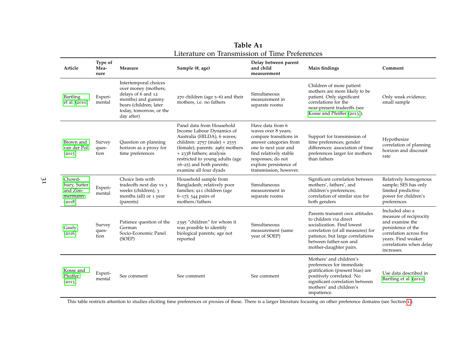| Article                                                 | Type of<br>Mea-<br>sure | Measure                                                                                                                                                     | Sample (#, age)                                                                                                                                                                                                                                                                   | Delay between parent<br>and child<br>measurement                                                                                                                                                                       | Main findings                                                                                                                                                                                                       | Comment                                                                                                                                                                      |
|---------------------------------------------------------|-------------------------|-------------------------------------------------------------------------------------------------------------------------------------------------------------|-----------------------------------------------------------------------------------------------------------------------------------------------------------------------------------------------------------------------------------------------------------------------------------|------------------------------------------------------------------------------------------------------------------------------------------------------------------------------------------------------------------------|---------------------------------------------------------------------------------------------------------------------------------------------------------------------------------------------------------------------|------------------------------------------------------------------------------------------------------------------------------------------------------------------------------|
| Bartling<br>et al. (2010)                               | Experi-<br>mental       | Intertemporal choices<br>over money (mothers;<br>delays of 6 and 12<br>months) and gummy<br>bears (children; later<br>today, tomorrow, or the<br>day after) | 270 children (age 5-6) and their<br>mothers, <i>i.e.</i> no fathers                                                                                                                                                                                                               | Simultaneous<br>measurement in<br>separate rooms                                                                                                                                                                       | Children of more patient<br>mothers are more likely to be<br>patient. Only significant<br>correlations for the<br>near-present tradeoffs (see<br>Kosse and Pfeiffer (2013)).                                        | Only weak evidence;<br>small sample                                                                                                                                          |
| Brown and<br>van der Pol<br>(2015)                      | Survey<br>ques-<br>tion | Question on planning<br>horizon as a proxy for<br>time preferences                                                                                          | Panel data from Household<br>Income Labour Dynamics of<br>Australia (HILDA), 6 waves;<br>children: $2757$ (male) + $2555$<br>(female); parents: 2965 mothers<br>+ 2338 fathers; analysis<br>restricted to young adults (age<br>16-25) and both parents;<br>examine all four dyads | Have data from 6<br>waves over 8 years;<br>compare transitions in<br>answer categories from<br>one to next year and<br>find relatively stable<br>responses; do not<br>explore persistence of<br>transmission, however. | Support for transmission of<br>time preferences; gender<br>differences: association of time<br>preferences larger for mothers<br>than fathers                                                                       | Hypothesize<br>correlation of planning<br>horizon and discount<br>rate                                                                                                       |
| Chowd-<br>hury, Sutter<br>and Zim-<br>mermann<br>(2018) | Experi-<br>mental       | Choice lists with<br>tradeoffs next day vs 3<br>weeks (children), 3<br>months (all) or 1 year<br>(parents)                                                  | Household sample from<br>Bangladesh; relatively poor<br>families; 911 children (age<br>$6-17$ ; 544 pairs of<br>mothers/fathers                                                                                                                                                   | Simultaneous<br>measurement in<br>separate rooms                                                                                                                                                                       | Significant correlation between<br>mothers', fathers', and<br>children's preferences;<br>correlation of similar size for<br>both genders                                                                            | Relatively homogenous<br>sample; SES has only<br>limited predictive<br>power for children's<br>preferences                                                                   |
| Gauly<br>(2016)                                         | Survey<br>ques-<br>tion | Patience question of the<br>German<br>Socio-Economic Panel<br>(SOEP)                                                                                        | 2395 "children" for whom it<br>was possible to identify<br>biological parents; age not<br>reported                                                                                                                                                                                | Simultaneous<br>measurement (same<br>year of SOEP)                                                                                                                                                                     | Parents transmit own attitudes<br>to children via direct<br>socialization. Find lowest<br>correlation (of all measures) for<br>patience, but large correlations<br>between father-son and<br>mother-daughter pairs. | Included also a<br>measure of reciprocity<br>and examine the<br>persistence of the<br>correlation across five<br>vears. Find weaker<br>correlations when delay<br>increases. |
| Kosse and<br>Pfeiffer<br>(2013)                         | Experi-<br>mental       | See comment                                                                                                                                                 | See comment                                                                                                                                                                                                                                                                       | See comment                                                                                                                                                                                                            | Mothers' and children's<br>preferences for immediate<br>gratification (present bias) are<br>positively correlated. No<br>significant correlation between<br>mothers' and children's<br>impatience.                  | Use data described in<br>Bartling et al. (2010).                                                                                                                             |

**Table A<sup>1</sup>**Literature on Transmission of Time Preferences

<span id="page-31-0"></span>This table restricts attention to studies eliciting time preferences or proxies of these. There is <sup>a</sup> larger literature focusing on other preference domains (see Section [1](#page-1-1).).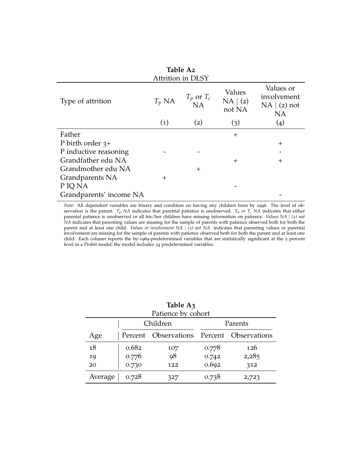<span id="page-32-0"></span>

| Table A2<br><b>Attrition in DLSY</b> |                   |                      |                              |                                                       |  |  |  |  |  |
|--------------------------------------|-------------------|----------------------|------------------------------|-------------------------------------------------------|--|--|--|--|--|
| Type of attrition                    | $T_p$ NA          | $T_p$ or $T_c$<br>NA | Values<br>NA   (2)<br>not NA | Values or<br>involvement<br>NA   (2) not<br><b>NA</b> |  |  |  |  |  |
|                                      | $\left( 1\right)$ | (2)                  | (3)                          | (4)                                                   |  |  |  |  |  |
| Father                               |                   |                      | $^{+}$                       |                                                       |  |  |  |  |  |
| P birth order $3+$                   |                   |                      |                              | $^{+}$                                                |  |  |  |  |  |
| P inductive reasoning                |                   |                      |                              |                                                       |  |  |  |  |  |
| Grandfather edu NA                   |                   |                      | $^{+}$                       | $\pm$                                                 |  |  |  |  |  |
| Grandmother edu NA                   |                   | $^{+}$               |                              |                                                       |  |  |  |  |  |
| Grandparents NA                      | $^{+}$            |                      |                              |                                                       |  |  |  |  |  |
| P IQ NA                              |                   |                      |                              |                                                       |  |  |  |  |  |
| Grandparents' income NA              |                   |                      |                              |                                                       |  |  |  |  |  |

*Note*: All dependent variables are binary and condition on having any children born by 1996. The level of observation is the parent. *T<sub>p</sub> NA* indicates that parental patience is unobserved. *T<sub>p</sub> or T<sub>c</sub> NA* indicates that either parental patience is unobserved or all his/her children have missing information on patience. *Values NA* | (2) not *NA* indicates that parenting values are missing for the sample of parents with patience observed both for both the parent and at least one child. *Values or involvement NA* | *(2) not NA* indicates that parenting values or parental involvement are missing for the sample of parents with patience observed both for both the parent and at least one child. Each column reports the by-1969-predetermined variables that are statistically significant at the 5 percent level in a Probit model; the model includes 34 predetermined variables.

<span id="page-32-1"></span>

| Table A3           |       |                                           |       |         |  |  |  |  |  |
|--------------------|-------|-------------------------------------------|-------|---------|--|--|--|--|--|
| Patience by cohort |       |                                           |       |         |  |  |  |  |  |
|                    |       | Children                                  |       | Parents |  |  |  |  |  |
| Age                |       | Percent Observations Percent Observations |       |         |  |  |  |  |  |
| 18                 | 0.682 | 107                                       | 0.778 | 126     |  |  |  |  |  |
| 19                 | 0.776 | 98                                        | 0.742 | 2,285   |  |  |  |  |  |
| 20                 | 0.730 | 122                                       | 0.692 | 312     |  |  |  |  |  |
| Average            | 0.728 | 327                                       | 0.738 | 2,723   |  |  |  |  |  |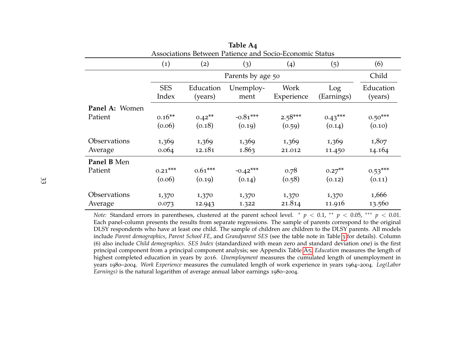|                                                         |                     |                      | $14U1C$ $\Gamma$ 4 |                    |                   |                      |  |  |
|---------------------------------------------------------|---------------------|----------------------|--------------------|--------------------|-------------------|----------------------|--|--|
| Associations Between Patience and Socio-Economic Status |                     |                      |                    |                    |                   |                      |  |  |
|                                                         | $\left( 1\right)$   | (2)                  | (3)                | (4)                | (5)               | (6)                  |  |  |
|                                                         |                     |                      | Parents by age 50  |                    |                   | Child                |  |  |
|                                                         | <b>SES</b><br>Index | Education<br>(years) | Unemploy-<br>ment  | Work<br>Experience | Log<br>(Earnings) | Education<br>(years) |  |  |
| Panel A: Women                                          |                     |                      |                    |                    |                   |                      |  |  |
| Patient                                                 | $0.16**$            | $0.42**$             | $-0.81***$         | $2.58***$          | $0.43***$         | $0.50***$            |  |  |
|                                                         | (0.06)              | (0.18)               | (0.19)             | (0.59)             | (0.14)            | (0.10)               |  |  |
| Observations                                            | 1,369               | 1,369                | 1,369              | 1,369              | 1,369             | 1,807                |  |  |
| Average                                                 | 0.064               | 12.181               | 1.863              | 21.012             | 11.450            | 14.164               |  |  |
| Panel B Men                                             |                     |                      |                    |                    |                   |                      |  |  |
| Patient                                                 | $0.21***$           | $0.61***$            | $-0.42***$         | 0.78               | $0.27***$         | $0.53***$            |  |  |
|                                                         | (0.06)              | (0.19)               | (0.14)             | (0.58)             | (0.12)            | (0.11)               |  |  |
| Observations                                            | 1,370               | 1,370                | 1,370              | 1,370              | 1,370             | 1,666                |  |  |
| Average                                                 | 0.073               | 12.943               | 1.322              | 21.814             | 11.916            | 13.560               |  |  |

**Table A4**

<span id="page-33-0"></span>*Note:* Standard errors in parentheses, clustered at the paren<sup>t</sup> school level. <sup>∗</sup> *p* <sup>&</sup>lt; 0.1, ∗∗ *<sup>p</sup>* <sup>&</sup>lt; 0.05, ∗∗∗ *<sup>p</sup>* <sup>&</sup>lt; 0.01. Each panel-column presents the results from separate regressions. The sample of parents correspond to the originalDLSY respondents who have at least one child. The sample of children are children to the DLSY parents. All models include *Parent demographics*, *Parent School FE*, and *Grandparent SES* (see the table note in Table [3](#page-20-1) for details). Column (6) also include *Child demographics*. *SES Index* (standardized with mean zero and standard deviation one) is the first principal componen<sup>t</sup> from <sup>a</sup> principal componen<sup>t</sup> analysis; see Appendix Table [A](#page-34-1)5. *Education* measures the length of highest completed education in years by <sup>2016</sup>. *Unemployment* measures the cumulated length of unemployment in years 1980–2004. *Work Experience* measures the cumulated length of work experience in years 1964–2004. *Log(Labor Earnings)* is the natural logarithm of average annual labor earnings 1980–2004.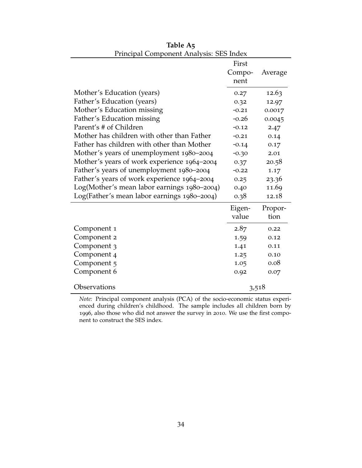<span id="page-34-0"></span>

| I Inicipal Component Analysis. JEJ muex     | First<br>Compo-<br>nent | Average |
|---------------------------------------------|-------------------------|---------|
| Mother's Education (years)                  | 0.27                    | 12.63   |
| Father's Education (years)                  | 0.32                    | 12.97   |
| Mother's Education missing                  | $-0.21$                 | 0.0017  |
| Father's Education missing                  | $-0.26$                 | 0.0045  |
| Parent's # of Children                      | $-0.12$                 | 2.47    |
| Mother has children with other than Father  | $-0.21$                 | 0.14    |
| Father has children with other than Mother  | $-0.14$                 | 0.17    |
| Mother's years of unemployment 1980-2004    | $-0.30$                 | 2.01    |
| Mother's years of work experience 1964-2004 | 0.37                    | 20.58   |
| Father's years of unemployment 1980-2004    | $-0.22$                 | 1.17    |
| Father's years of work experience 1964-2004 | 0.25                    | 23.36   |
| Log(Mother's mean labor earnings 1980-2004) | 0.40                    | 11.69   |
| Log(Father's mean labor earnings 1980-2004) | 0.38                    | 12.18   |
|                                             | Eigen-                  | Propor- |
|                                             | value                   | tion    |
| Component 1                                 | 2.87                    | 0.22    |
| Component 2                                 | 1.59                    | 0.12    |
| Component 3                                 | 1.41                    | 0.11    |
| Component 4                                 | 1.25                    | 0.10    |
| Component 5                                 | 1.05                    | 0.08    |
| Component 6                                 | 0.92                    | 0.07    |
| Observations                                |                         | 3,518   |

<span id="page-34-1"></span>**Table A5** Principal Component Analysis: SES Index

*Note:* Principal component analysis (PCA) of the socio-economic status experienced during children's childhood. The sample includes all children born by 1996, also those who did not answer the survey in 2010. We use the first component to construct the SES index.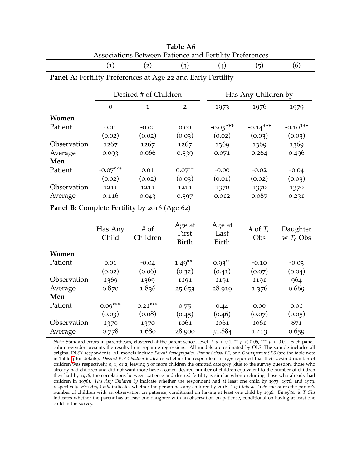|             | Desired # of Children |         |                | Has Any Children by |            |            |
|-------------|-----------------------|---------|----------------|---------------------|------------|------------|
|             | $\Omega$              | 1       | $\overline{2}$ | 1973                | 1976       | 1979       |
| Women       |                       |         |                |                     |            |            |
| Patient     | 0.01                  | $-0.02$ | 0.00           | $-0.05***$          | $-0.14***$ | $-0.10***$ |
|             | (0.02)                | (0.02)  | (0.03)         | (0.02)              | (0.03)     | (0.03)     |
| Observation | 1267                  | 1267    | 1267           | 1369                | 1369       | 1369       |
| Average     | 0.093                 | 0.066   | 0.539          | 0.071               | 0.264      | 0.496      |
| Men         |                       |         |                |                     |            |            |
| Patient     | $-0.07***$            | 0.01    | $0.07**$       | $-0.00$             | $-0.02$    | $-0.04$    |
|             | (0.02)                | (0.02)  | (0.03)         | (0.01)              | (0.02)     | (0.03)     |
| Observation | 1211                  | 1211    | 1211           | 1370                | 1370       | 1370       |
| Average     | 0.116                 | 0.043   | 0.597          | 0.012               | 0.087      | 0.231      |

| Table A6                                                |  |
|---------------------------------------------------------|--|
| Associations Between Patience and Fertility Preferences |  |

<span id="page-35-0"></span>**Panel A:** Fertility Preferences at Age 22 and Early Fertility

(1) (2) (3) (4) (5) (6)

**Panel B:** Complete Fertility by 2016 (Age 62)

|             | Has Any<br>Child | $#$ of<br>Children | Age at<br>First<br>Birth | Age at<br>Last<br>Birth | # of $T_c$<br>Obs | Daughter<br>w $T_c$ Obs |
|-------------|------------------|--------------------|--------------------------|-------------------------|-------------------|-------------------------|
| Women       |                  |                    |                          |                         |                   |                         |
| Patient     | 0.01             | $-0.04$            | $1.49***$                | $0.93**$                | $-0.10$           | $-0.03$                 |
|             | (0.02)           | (0.06)             | (0.32)                   | (0.41)                  | (0.07)            | (0.04)                  |
| Observation | 1369             | 1369               | 1191                     | 1191                    | 1191              | 964                     |
| Average     | 0.870            | 1.836              | 25.653                   | 28.919                  | 1.376             | 0.669                   |
| Men         |                  |                    |                          |                         |                   |                         |
| Patient     | $0.09***$        | $0.21***$          | 0.75                     | 0.44                    | 0.00              | 0.01                    |
|             | (0.03)           | (0.08)             | (0.45)                   | (0.46)                  | (0.07)            | (0.05)                  |
| Observation | 1370             | 1370               | 1061                     | 1061                    | 1061              | 871                     |
| Average     | 0.778            | 1.680              | 28.900                   | 31.884                  | 1.413             | 0.659                   |

*Note:* Standard errors in parentheses, clustered at the parent school level. <sup>∗</sup> *p* < 0.1, ∗∗ *p* < 0.05, ∗∗∗ *p* < 0.01. Each panelcolumn-gender presents the results from separate regressions. All models are estimated by OLS. The sample includes all original DLSY respondents. All models include *Parent demographics*, *Parent School FE*, and *Grandparent SES* (see the table note in Table [3](#page-20-0) for details). *Desired # of Children* indicates whether the respondent in 1976 reported that their desired number of children was respectively, 0, 1, or 2, leaving 3 or more children the omitted category (due to the survey question, those who already had children and did not want more have a coded desired number of children equivalent to the number of children they had by 1976; the correlations between patience and desired fertility is similar when excluding those who already had children in 1976). *Has Any Children by* indicate whether the respondent had at least one child by 1973, 1976, and 1979, respectively. *Has Any Child* indicates whether the person has any children by 2016. *# of Child w T Obs* measures the parent's number of children with an observation on patience, conditional on having at least one child by 1996. *Daughter w T Obs* indicates whether the parent has at least one daughter with an observation on patience, conditional on having at least one child in the survey.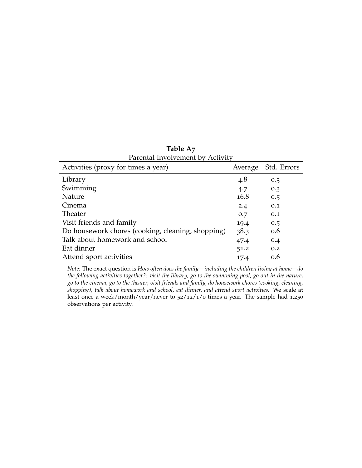<span id="page-36-0"></span>

| Average | Std. Errors |
|---------|-------------|
|         |             |
| 4.8     | 0.3         |
| 4.7     | 0.3         |
| 16.8    | 0.5         |
| 2.4     | 0.1         |
| 0.7     | 0.1         |
| 19.4    | 0.5         |
| 38.3    | 0.6         |
| 47.4    | 0.4         |
| 51.2    | 0.2         |
| 17.4    | 0.6         |
|         |             |

**Table A7** Parental Involvement by Activity

*Note:* The exact question is *How often does the family—including the children living at home—do the following activities together?: visit the library, go to the swimming pool, go out in the nature, go to the cinema, go to the theater, visit friends and family, do housework chores (cooking, cleaning, shopping), talk about homework and school, eat dinner, and attend sport activities.* We scale at least once a week/month/year/never to 52/12/1/0 times a year. The sample had 1,250 observations per activity.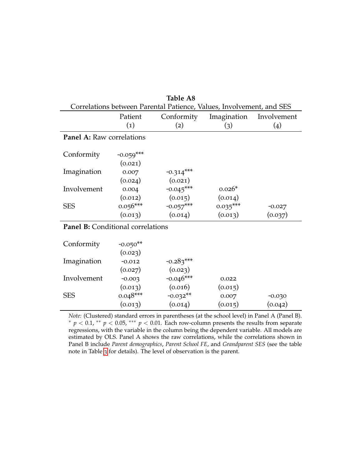<span id="page-37-0"></span>

| 140.LL 110                                                           |                   |             |             |             |  |  |  |
|----------------------------------------------------------------------|-------------------|-------------|-------------|-------------|--|--|--|
| Correlations between Parental Patience, Values, Involvement, and SES |                   |             |             |             |  |  |  |
|                                                                      | Patient           | Conformity  | Imagination | Involvement |  |  |  |
|                                                                      | $\left( 1\right)$ | (2)         | (3)         | (4)         |  |  |  |
| <b>Panel A:</b> Raw correlations                                     |                   |             |             |             |  |  |  |
|                                                                      |                   |             |             |             |  |  |  |
| Conformity                                                           | $-0.059***$       |             |             |             |  |  |  |
|                                                                      | (0.021)           |             |             |             |  |  |  |
| Imagination                                                          | 0.007             | $-0.314***$ |             |             |  |  |  |
|                                                                      | (0.024)           | (0.021)     |             |             |  |  |  |
| Involvement                                                          | 0.004             | $-0.045***$ | $0.026*$    |             |  |  |  |
|                                                                      | (0.012)           | (0.015)     | (0.014)     |             |  |  |  |
| <b>SES</b>                                                           | $0.056***$        | $-0.057***$ | $0.035***$  | $-0.027$    |  |  |  |
|                                                                      | (0.013)           | (0.014)     | (0.013)     | (0.037)     |  |  |  |
|                                                                      |                   |             |             |             |  |  |  |

**Table A8**

#### **Panel B:** Conditional correlations

| Conformity  | $-0.050**$ |             |         |          |
|-------------|------------|-------------|---------|----------|
|             | (0.023)    |             |         |          |
| Imagination | $-0.012$   | $-0.283***$ |         |          |
|             | (0.027)    | (0.023)     |         |          |
| Involvement | $-0.003$   | $-0.046***$ | 0.022   |          |
|             | (0.013)    | (0.016)     | (0.015) |          |
| <b>SES</b>  | $0.048***$ | $-0.032**$  | 0.007   | $-0.030$ |
|             | (0.013)    | (0.014)     | (0.015) | (0.042)  |

*Note:* (Clustered) standard errors in parentheses (at the school level) in Panel A (Panel B). <sup>∗</sup> *p* < 0.1, ∗∗ *p* < 0.05, ∗∗∗ *p* < 0.01. Each row-column presents the results from separate regressions, with the variable in the column being the dependent variable. All models are estimated by OLS. Panel A shows the raw correlations, while the correlations shown in Panel B include *Parent demographics*, *Parent School FE*, and *Grandparent SES* (see the table note in Table [3](#page-20-0) for details). The level of observation is the parent.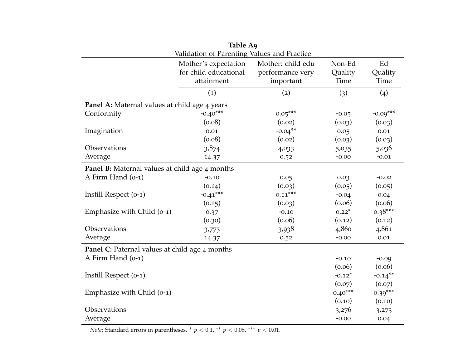|                                                       | Table A9                                    |                   |           |                       |
|-------------------------------------------------------|---------------------------------------------|-------------------|-----------|-----------------------|
|                                                       | Validation of Parenting Values and Practice |                   |           |                       |
|                                                       | Mother's expectation                        | Mother: child edu | Non-Ed    | Ed                    |
|                                                       | for child educational                       | performance very  | Quality   | Quality               |
|                                                       | attainment                                  | important         | Time      | Time                  |
|                                                       | (1)                                         | (2)               | (3)       | $\left( 4 \right)$    |
| Panel A: Maternal values at child age 4 years         |                                             |                   |           |                       |
| Conformity                                            | $-0.40***$                                  | $0.05***$         | $-0.05$   | $-0.09***$            |
|                                                       | (0.08)                                      | (0.02)            | (0.03)    | (0.03)                |
| Imagination                                           | 0.01                                        | $-0.04***$        | 0.05      | 0.01                  |
|                                                       | (0.08)                                      | (0.02)            | (0.03)    | (0.03)                |
| Observations                                          | 3,874                                       | 4,033             | 5,035     | 5,036                 |
| Average                                               | 14.37                                       | 0.52              | $-0.00$   | $-0.01$               |
| <b>Panel B:</b> Maternal values at child age 4 months |                                             |                   |           |                       |
| A Firm Hand (o-1)                                     | $-0.10$                                     | 0.05              | 0.03      | $-0.02$               |
|                                                       | (0.14)                                      | (0.03)            | (0.05)    | (0.05)                |
| Instill Respect (o-1)                                 | $-0.41***$                                  | $0.11***$         | $-0.04$   | 0.04                  |
|                                                       | (0.15)                                      | (0.03)            | (0.06)    | (0.06)                |
| Emphasize with Child (0-1)                            | 0.37                                        | $-0.10$           | $0.22*$   | $0.38***$             |
|                                                       | (0.30)                                      | (0.06)            | (0.12)    | (0.12)                |
| Observations                                          | 3,773                                       | 3,938             | 4,860     | 4,861                 |
| Average                                               | 14.37                                       | 0.52              | $-0.00$   | $0.01\,$              |
| <b>Panel C:</b> Paternal values at child age 4 months |                                             |                   |           |                       |
| A Firm Hand (o-1)                                     |                                             |                   | $-0.10$   | $-0.09$               |
|                                                       |                                             |                   | (0.06)    | (0.06)                |
| Instill Respect (0-1)                                 |                                             |                   | $-0.12*$  | $-0.14$ <sup>**</sup> |
|                                                       |                                             |                   | (0.07)    | (0.07)                |
| Emphasize with Child (0-1)                            |                                             |                   | $0.40***$ | $0.39***$             |
|                                                       |                                             |                   | (0.10)    | (0.10)                |
| Observations                                          |                                             |                   | 3,276     | 3,273                 |
| Average                                               |                                             |                   | $-0.00$   | 0.04                  |

*Note*: Standard errors in parentheses. <sup>∗</sup> *p* <sup>&</sup>lt; 0.1, ∗∗ *<sup>p</sup>* <sup>&</sup>lt; 0.05, ∗∗∗ *<sup>p</sup>* <sup>&</sup>lt; 0.01.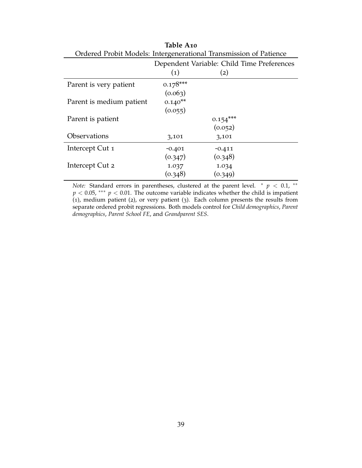| Ordered Probit Models: Intergenerational Transmission of Patience |                                            |            |  |  |  |  |  |
|-------------------------------------------------------------------|--------------------------------------------|------------|--|--|--|--|--|
|                                                                   | Dependent Variable: Child Time Preferences |            |  |  |  |  |  |
|                                                                   | $\left( 1\right)$                          | (2)        |  |  |  |  |  |
| Parent is very patient                                            | $0.178***$                                 |            |  |  |  |  |  |
|                                                                   | (0.063)                                    |            |  |  |  |  |  |
| Parent is medium patient                                          | $0.140**$                                  |            |  |  |  |  |  |
|                                                                   | (0.055)                                    |            |  |  |  |  |  |
| Parent is patient                                                 |                                            | $0.154***$ |  |  |  |  |  |
|                                                                   |                                            | (0.052)    |  |  |  |  |  |
| <b>Observations</b>                                               | 3,101                                      | 3,101      |  |  |  |  |  |
| Intercept Cut 1                                                   | $-0.401$                                   | $-0.411$   |  |  |  |  |  |
|                                                                   | (0.347)                                    | (0.348)    |  |  |  |  |  |
| Intercept Cut 2                                                   | 1.037                                      | 1.034      |  |  |  |  |  |
|                                                                   | (0.348)                                    | (0.349)    |  |  |  |  |  |

**Table A10**

*Note:* Standard errors in parentheses, clustered at the parent level.  $* p < 0.1$ ,  $*$  $p < 0.05$ , \*\*\*  $p < 0.01$ . The outcome variable indicates whether the child is impatient (1), medium patient (2), or very patient (3). Each column presents the results from separate ordered probit regressions. Both models control for *Child demographics*, *Parent demographics*, *Parent School FE*, and *Grandparent SES*.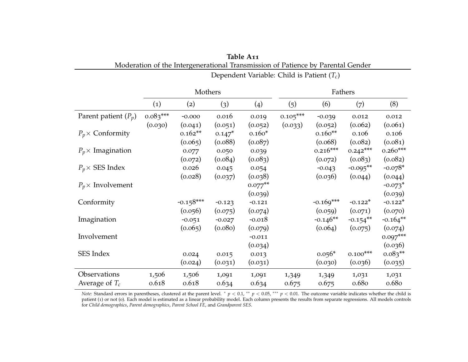|                          | Mothers           |             |          | Fathers    |            |             |                        |                       |
|--------------------------|-------------------|-------------|----------|------------|------------|-------------|------------------------|-----------------------|
|                          | $\left( 1\right)$ | (2)         | (3)      | (4)        | (5)        | (6)         | (7)                    | (8)                   |
| Parent patient $(P_p)$   | $0.083***$        | $-0.000$    | 0.016    | 0.019      | $0.105***$ | $-0.039$    | 0.012                  | 0.012                 |
|                          | (0.030)           | (0.041)     | (0.051)  | (0.052)    | (0.033)    | (0.052)     | (0.062)                | (0.061)               |
| $P_p \times$ Conformity  |                   | $0.162**$   | $0.147*$ | $0.160*$   |            | $0.160**$   | 0.106                  | 0.106                 |
|                          |                   | (0.065)     | (0.088)  | (0.087)    |            | (0.068)     | (0.082)                | (0.081)               |
| $P_p \times$ Imagination |                   | 0.077       | 0.050    | 0.039      |            | $0.216***$  | $0.242***$             | $0.260***$            |
|                          |                   | (0.072)     | (0.084)  | (0.083)    |            | (0.072)     | (0.083)                | (0.082)               |
| $P_p \times$ SES Index   |                   | 0.026       | 0.045    | 0.054      |            | $-0.043$    | $-0.095**$             | $-0.078*$             |
|                          |                   | (0.028)     | (0.037)  | (0.038)    |            | (0.036)     | (0.044)                | (0.044)               |
| $P_p \times$ Involvement |                   |             |          | $0.077$ ** |            |             |                        | $-0.073$ <sup>*</sup> |
|                          |                   |             |          | (0.039)    |            |             |                        | (0.039)               |
| Conformity               |                   | $-0.158***$ | $-0.123$ | $-0.121$   |            | $-0.169***$ | $-0.122*$              | $-0.122*$             |
|                          |                   | (0.056)     | (0.075)  | (0.074)    |            | (0.059)     | (0.071)                | (0.070)               |
| Imagination              |                   | $-0.051$    | $-0.027$ | $-0.018$   |            | $-0.146**$  | $-0.154$ <sup>**</sup> | $-0.164**$            |
|                          |                   | (0.065)     | (0.080)  | (0.079)    |            | (0.064)     | (0.075)                | (0.074)               |
| Involvement              |                   |             |          | $-0.011$   |            |             |                        | $0.097***$            |
|                          |                   |             |          | (0.034)    |            |             |                        | (0.036)               |
| SES Index                |                   | 0.024       | 0.015    | 0.013      |            | $0.056*$    | $0.100***$             | $0.083**$             |
|                          |                   | (0.024)     | (0.031)  | (0.031)    |            | (0.030)     | (0.036)                | (0.035)               |
| Observations             | 1,506             | 1,506       | 1,091    | 1,091      | 1,349      | 1,349       | 1,031                  | 1,031                 |
| Average of $T_c$         | 0.618             | 0.618       | 0.634    | 0.634      | 0.675      | 0.675       | 0.680                  | 0.680                 |

<span id="page-40-0"></span>**Table A<sup>11</sup>**Moderation of the Intergenerational Transmission of Patience by Parental Gender

Dependent Variable: Child is Patient (*Tc*)

*Note:* Standard errors in parentheses, clustered at the parent level. *\* p* < 0.1, *\*\* p* < 0.05, *\*\*\* p* < 0.01. The outcome variable indicates whether the child is patient (1) or not (0). Each model is estimated as <sup>a</sup> linear probability model. Each column presents the results from separate regressions. All models controlsfor *Child demographics*, *Parent demographics*, *Parent School FE*, and *Grandparent SES*.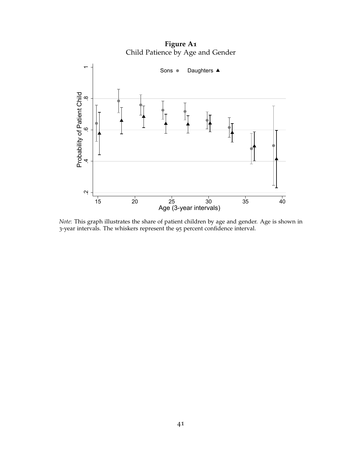**Figure A1** Child Patience by Age and Gender

<span id="page-41-0"></span>

*Note*: This graph illustrates the share of patient children by age and gender. Age is shown in 3-year intervals. The whiskers represent the 95 percent confidence interval.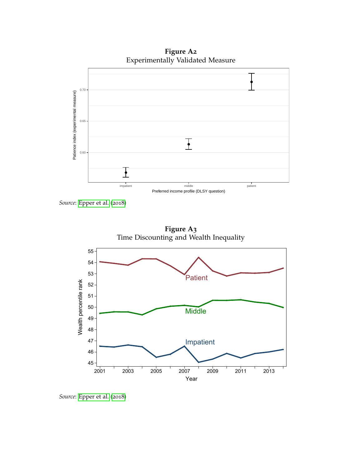**Figure A2** Experimentally Validated Measure

<span id="page-42-0"></span>

*Source*: [Epper et al.](#page-29-0) ([2018](#page-29-0))

<span id="page-42-1"></span>

*Source*: [Epper et al.](#page-29-0) ([2018](#page-29-0))